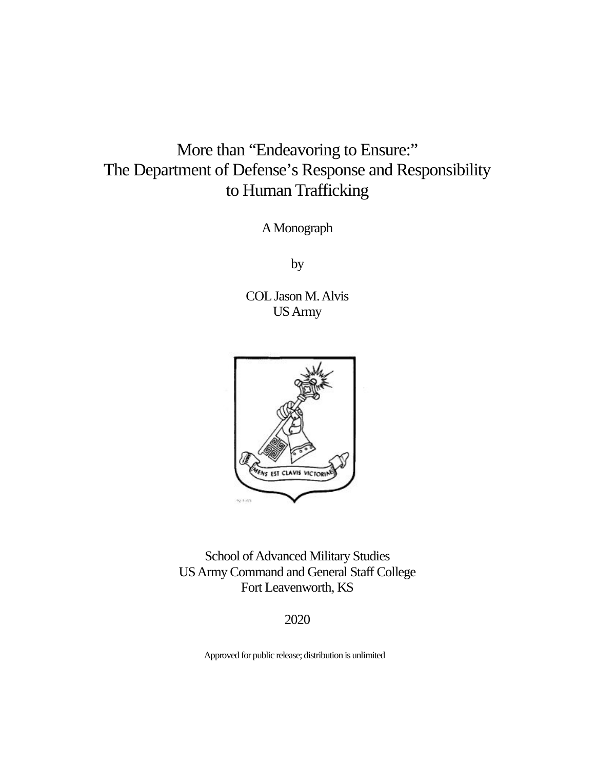# More than "Endeavoring to Ensure:" The Department of Defense's Response and Responsibility to Human Trafficking

A Monograph

by

COL Jason M. Alvis US Army



School of Advanced Military Studies US Army Command and General Staff College Fort Leavenworth, KS

2020

Approved for public release; distribution is unlimited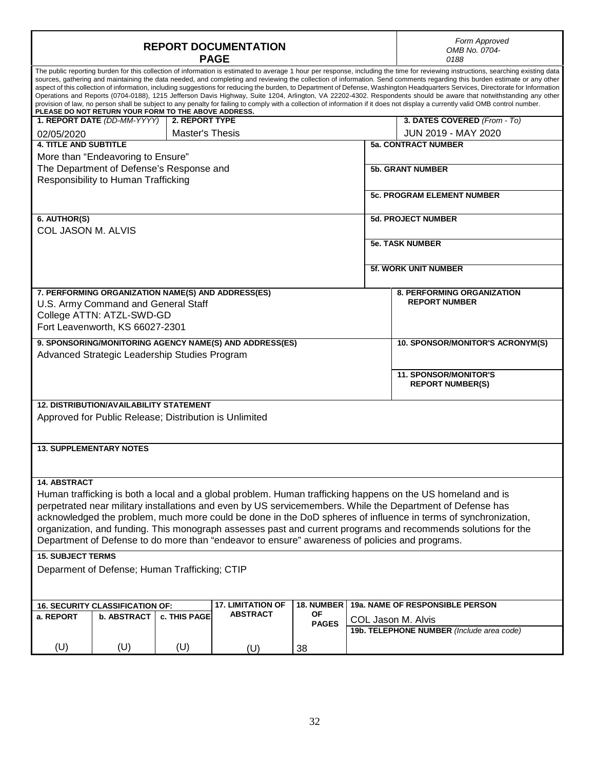| <b>REPORT DOCUMENTATION</b><br><b>PAGE</b> |                                                                                                                                                           |                        |                                                                                                |                           | Form Approved<br>OMB No. 0704-<br>0188 |                                                                                                                                                                                                                                                                                                                                                                                                                                                                                                                                                                                                                                                                                                                                                                                                                                                                                                              |  |  |
|--------------------------------------------|-----------------------------------------------------------------------------------------------------------------------------------------------------------|------------------------|------------------------------------------------------------------------------------------------|---------------------------|----------------------------------------|--------------------------------------------------------------------------------------------------------------------------------------------------------------------------------------------------------------------------------------------------------------------------------------------------------------------------------------------------------------------------------------------------------------------------------------------------------------------------------------------------------------------------------------------------------------------------------------------------------------------------------------------------------------------------------------------------------------------------------------------------------------------------------------------------------------------------------------------------------------------------------------------------------------|--|--|
|                                            | PLEASE DO NOT RETURN YOUR FORM TO THE ABOVE ADDRESS.                                                                                                      |                        |                                                                                                |                           |                                        | The public reporting burden for this collection of information is estimated to average 1 hour per response, including the time for reviewing instructions, searching existing data<br>sources, gathering and maintaining the data needed, and completing and reviewing the collection of information. Send comments regarding this burden estimate or any other<br>aspect of this collection of information, including suggestions for reducing the burden, to Department of Defense, Washington Headquarters Services, Directorate for Information<br>Operations and Reports (0704-0188), 1215 Jefferson Davis Highway, Suite 1204, Arlington, VA 22202-4302. Respondents should be aware that notwithstanding any other<br>provision of law, no person shall be subject to any penalty for failing to comply with a collection of information if it does not display a currently valid OMB control number. |  |  |
|                                            | 1. REPORT DATE (DD-MM-YYYY)                                                                                                                               | 2. REPORT TYPE         |                                                                                                |                           |                                        | 3. DATES COVERED (From - To)                                                                                                                                                                                                                                                                                                                                                                                                                                                                                                                                                                                                                                                                                                                                                                                                                                                                                 |  |  |
| 02/05/2020                                 |                                                                                                                                                           | <b>Master's Thesis</b> |                                                                                                |                           |                                        | JUN 2019 - MAY 2020                                                                                                                                                                                                                                                                                                                                                                                                                                                                                                                                                                                                                                                                                                                                                                                                                                                                                          |  |  |
| <b>4. TITLE AND SUBTITLE</b>               |                                                                                                                                                           |                        |                                                                                                |                           |                                        | <b>5a. CONTRACT NUMBER</b>                                                                                                                                                                                                                                                                                                                                                                                                                                                                                                                                                                                                                                                                                                                                                                                                                                                                                   |  |  |
|                                            | More than "Endeavoring to Ensure"                                                                                                                         |                        |                                                                                                |                           |                                        |                                                                                                                                                                                                                                                                                                                                                                                                                                                                                                                                                                                                                                                                                                                                                                                                                                                                                                              |  |  |
|                                            | The Department of Defense's Response and                                                                                                                  |                        |                                                                                                |                           |                                        | <b>5b. GRANT NUMBER</b>                                                                                                                                                                                                                                                                                                                                                                                                                                                                                                                                                                                                                                                                                                                                                                                                                                                                                      |  |  |
| Responsibility to Human Trafficking        |                                                                                                                                                           |                        |                                                                                                |                           |                                        |                                                                                                                                                                                                                                                                                                                                                                                                                                                                                                                                                                                                                                                                                                                                                                                                                                                                                                              |  |  |
|                                            |                                                                                                                                                           |                        |                                                                                                |                           |                                        | <b>5c. PROGRAM ELEMENT NUMBER</b>                                                                                                                                                                                                                                                                                                                                                                                                                                                                                                                                                                                                                                                                                                                                                                                                                                                                            |  |  |
| 6. AUTHOR(S)                               |                                                                                                                                                           |                        |                                                                                                |                           |                                        | <b>5d. PROJECT NUMBER</b>                                                                                                                                                                                                                                                                                                                                                                                                                                                                                                                                                                                                                                                                                                                                                                                                                                                                                    |  |  |
| COL JASON M. ALVIS                         |                                                                                                                                                           |                        |                                                                                                |                           |                                        |                                                                                                                                                                                                                                                                                                                                                                                                                                                                                                                                                                                                                                                                                                                                                                                                                                                                                                              |  |  |
|                                            |                                                                                                                                                           |                        |                                                                                                |                           |                                        | <b>5e. TASK NUMBER</b>                                                                                                                                                                                                                                                                                                                                                                                                                                                                                                                                                                                                                                                                                                                                                                                                                                                                                       |  |  |
|                                            |                                                                                                                                                           |                        |                                                                                                |                           |                                        | <b>5f. WORK UNIT NUMBER</b>                                                                                                                                                                                                                                                                                                                                                                                                                                                                                                                                                                                                                                                                                                                                                                                                                                                                                  |  |  |
|                                            | 7. PERFORMING ORGANIZATION NAME(S) AND ADDRESS(ES)<br>U.S. Army Command and General Staff<br>College ATTN: ATZL-SWD-GD<br>Fort Leavenworth, KS 66027-2301 |                        |                                                                                                |                           |                                        | <b>8. PERFORMING ORGANIZATION</b><br><b>REPORT NUMBER</b>                                                                                                                                                                                                                                                                                                                                                                                                                                                                                                                                                                                                                                                                                                                                                                                                                                                    |  |  |
|                                            |                                                                                                                                                           |                        | 9. SPONSORING/MONITORING AGENCY NAME(S) AND ADDRESS(ES)                                        |                           |                                        | 10. SPONSOR/MONITOR'S ACRONYM(S)                                                                                                                                                                                                                                                                                                                                                                                                                                                                                                                                                                                                                                                                                                                                                                                                                                                                             |  |  |
|                                            | Advanced Strategic Leadership Studies Program                                                                                                             |                        |                                                                                                |                           |                                        |                                                                                                                                                                                                                                                                                                                                                                                                                                                                                                                                                                                                                                                                                                                                                                                                                                                                                                              |  |  |
|                                            |                                                                                                                                                           |                        |                                                                                                |                           |                                        | <b>11. SPONSOR/MONITOR'S</b><br><b>REPORT NUMBER(S)</b>                                                                                                                                                                                                                                                                                                                                                                                                                                                                                                                                                                                                                                                                                                                                                                                                                                                      |  |  |
|                                            | <b>12. DISTRIBUTION/AVAILABILITY STATEMENT</b>                                                                                                            |                        |                                                                                                |                           |                                        |                                                                                                                                                                                                                                                                                                                                                                                                                                                                                                                                                                                                                                                                                                                                                                                                                                                                                                              |  |  |
|                                            | Approved for Public Release; Distribution is Unlimited                                                                                                    |                        |                                                                                                |                           |                                        |                                                                                                                                                                                                                                                                                                                                                                                                                                                                                                                                                                                                                                                                                                                                                                                                                                                                                                              |  |  |
|                                            |                                                                                                                                                           |                        |                                                                                                |                           |                                        |                                                                                                                                                                                                                                                                                                                                                                                                                                                                                                                                                                                                                                                                                                                                                                                                                                                                                                              |  |  |
|                                            | <b>13. SUPPLEMENTARY NOTES</b>                                                                                                                            |                        |                                                                                                |                           |                                        |                                                                                                                                                                                                                                                                                                                                                                                                                                                                                                                                                                                                                                                                                                                                                                                                                                                                                                              |  |  |
| 14. ABSTRACT                               |                                                                                                                                                           |                        |                                                                                                |                           |                                        |                                                                                                                                                                                                                                                                                                                                                                                                                                                                                                                                                                                                                                                                                                                                                                                                                                                                                                              |  |  |
|                                            |                                                                                                                                                           |                        |                                                                                                |                           |                                        | Human trafficking is both a local and a global problem. Human trafficking happens on the US homeland and is                                                                                                                                                                                                                                                                                                                                                                                                                                                                                                                                                                                                                                                                                                                                                                                                  |  |  |
|                                            |                                                                                                                                                           |                        |                                                                                                |                           |                                        | perpetrated near military installations and even by US servicemembers. While the Department of Defense has                                                                                                                                                                                                                                                                                                                                                                                                                                                                                                                                                                                                                                                                                                                                                                                                   |  |  |
|                                            |                                                                                                                                                           |                        |                                                                                                |                           |                                        | acknowledged the problem, much more could be done in the DoD spheres of influence in terms of synchronization,                                                                                                                                                                                                                                                                                                                                                                                                                                                                                                                                                                                                                                                                                                                                                                                               |  |  |
|                                            |                                                                                                                                                           |                        |                                                                                                |                           |                                        | organization, and funding. This monograph assesses past and current programs and recommends solutions for the                                                                                                                                                                                                                                                                                                                                                                                                                                                                                                                                                                                                                                                                                                                                                                                                |  |  |
|                                            |                                                                                                                                                           |                        | Department of Defense to do more than "endeavor to ensure" awareness of policies and programs. |                           |                                        |                                                                                                                                                                                                                                                                                                                                                                                                                                                                                                                                                                                                                                                                                                                                                                                                                                                                                                              |  |  |
|                                            |                                                                                                                                                           |                        |                                                                                                |                           |                                        |                                                                                                                                                                                                                                                                                                                                                                                                                                                                                                                                                                                                                                                                                                                                                                                                                                                                                                              |  |  |
| <b>15. SUBJECT TERMS</b>                   |                                                                                                                                                           |                        |                                                                                                |                           |                                        |                                                                                                                                                                                                                                                                                                                                                                                                                                                                                                                                                                                                                                                                                                                                                                                                                                                                                                              |  |  |
|                                            | Deparment of Defense; Human Trafficking; CTIP                                                                                                             |                        |                                                                                                |                           |                                        |                                                                                                                                                                                                                                                                                                                                                                                                                                                                                                                                                                                                                                                                                                                                                                                                                                                                                                              |  |  |
|                                            | 16. SECURITY CLASSIFICATION OF:                                                                                                                           |                        | <b>17. LIMITATION OF</b>                                                                       | 18. NUMBER                |                                        | 19a. NAME OF RESPONSIBLE PERSON                                                                                                                                                                                                                                                                                                                                                                                                                                                                                                                                                                                                                                                                                                                                                                                                                                                                              |  |  |
| a. REPORT                                  | b. ABSTRACT                                                                                                                                               | c. THIS PAGE           | <b>ABSTRACT</b>                                                                                | <b>OF</b><br><b>PAGES</b> |                                        |                                                                                                                                                                                                                                                                                                                                                                                                                                                                                                                                                                                                                                                                                                                                                                                                                                                                                                              |  |  |
|                                            |                                                                                                                                                           |                        |                                                                                                |                           | COL Jason M. Alvis                     | 19b. TELEPHONE NUMBER (Include area code)                                                                                                                                                                                                                                                                                                                                                                                                                                                                                                                                                                                                                                                                                                                                                                                                                                                                    |  |  |
| (U)                                        | (U)                                                                                                                                                       | (U)                    |                                                                                                | 38                        |                                        |                                                                                                                                                                                                                                                                                                                                                                                                                                                                                                                                                                                                                                                                                                                                                                                                                                                                                                              |  |  |
|                                            |                                                                                                                                                           |                        | (U)                                                                                            |                           |                                        |                                                                                                                                                                                                                                                                                                                                                                                                                                                                                                                                                                                                                                                                                                                                                                                                                                                                                                              |  |  |

Г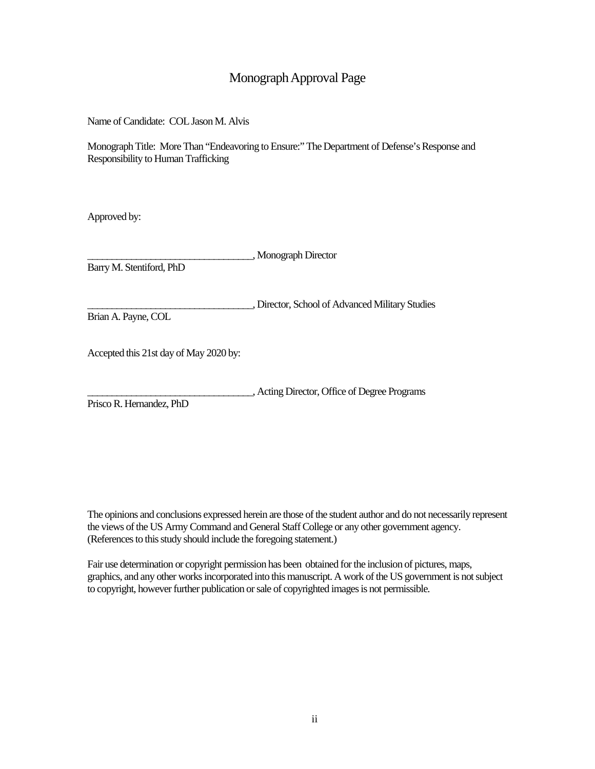# Monograph Approval Page

Name of Candidate: COL Jason M. Alvis

Monograph Title: More Than "Endeavoring to Ensure:" The Department of Defense's Response and Responsibility to Human Trafficking

Approved by:

\_\_\_\_\_\_\_\_\_\_\_\_\_\_\_\_\_\_\_\_\_\_\_\_\_\_\_\_\_\_\_\_\_\_, Monograph Director

Barry M. Stentiford, PhD

\_\_\_\_\_\_\_\_\_\_\_\_\_\_\_\_\_\_\_\_\_\_\_\_\_\_\_\_\_\_\_\_\_\_, Director, School of Advanced Military Studies Brian A. Payne, COL

Accepted this 21st day of May 2020 by:

\_\_\_\_\_\_\_\_\_\_\_\_\_\_\_\_\_\_\_\_\_\_\_\_\_\_\_\_\_\_\_\_\_\_, Acting Director, Office of Degree Programs

PriscoR. Hernandez, PhD

The opinions and conclusions expressed herein are those of the student author and do not necessarily represent the views of the US Army Command and General Staff College or any other government agency. (References to this study should include the foregoing statement.)

Fair use determination or copyright permission has been obtained for the inclusion of pictures, maps, graphics, and any other works incorporated into this manuscript. A work of the US government is not subject to copyright, however further publication or sale of copyrighted images is not permissible.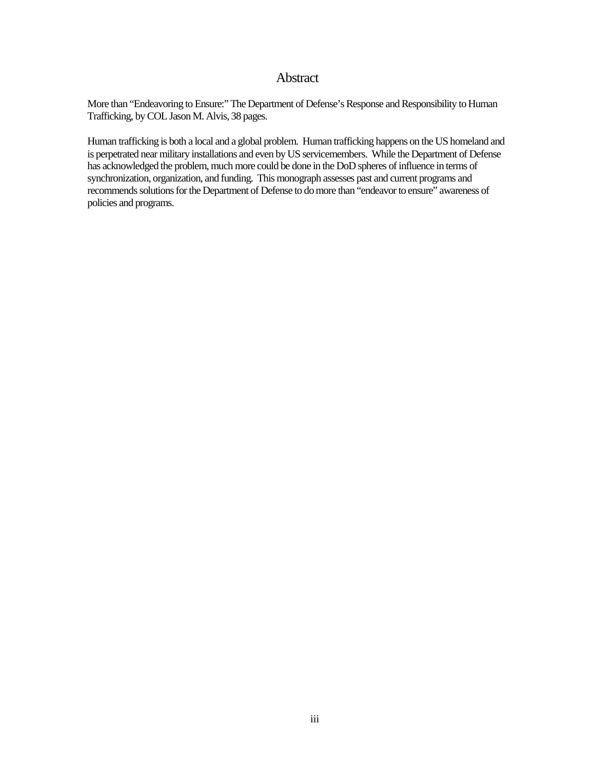### Abstract

More than "Endeavoring to Ensure:" The Department of Defense's Response and Responsibility to Human Trafficking, by COL Jason M. Alvis, 38 pages.

Human trafficking is both a local and a global problem. Human trafficking happens on the US homeland and is perpetrated near military installations and even by US servicemembers. While the Department of Defense has acknowledged the problem, much more could be done in the DoD spheres of influence in terms of synchronization, organization, and funding. This monograph assesses past and current programs and recommends solutions for the Department of Defense to do more than "endeavor to ensure" awareness of policies and programs.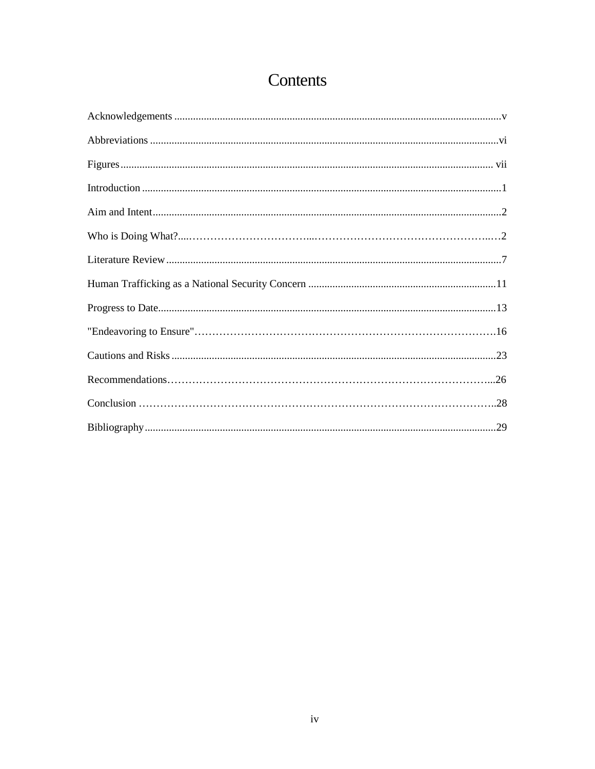# Contents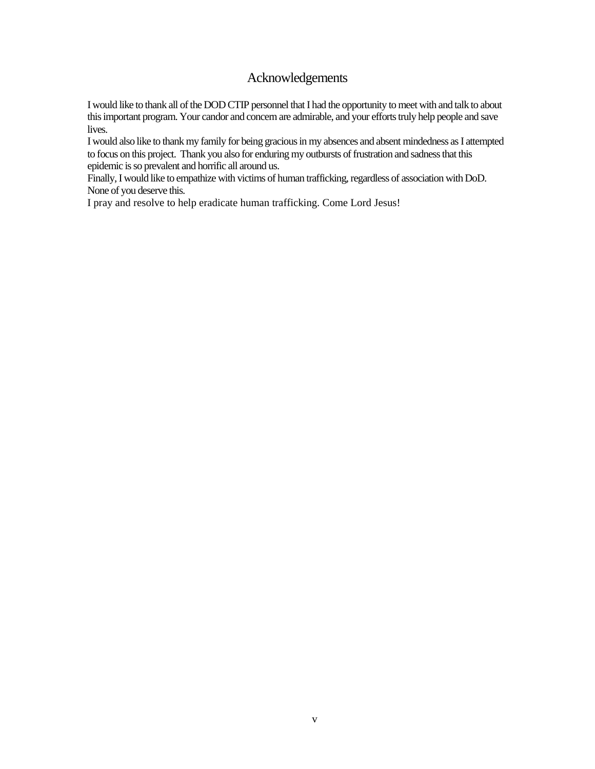# Acknowledgements

<span id="page-5-0"></span>I would like to thank all of the DOD CTIP personnel that I had the opportunity to meet with and talk to about this important program. Your candor and concern are admirable, and your efforts truly help people and save lives.

I would also like to thank my family for being gracious in my absences and absent mindedness as I attempted to focus on this project. Thank you also for enduring my outbursts of frustration and sadness that this epidemic is so prevalent and horrific all around us.

Finally, I would like to empathize with victims of human trafficking, regardless of association with DoD. None of you deserve this.

I pray and resolve to help eradicate human trafficking. Come Lord Jesus!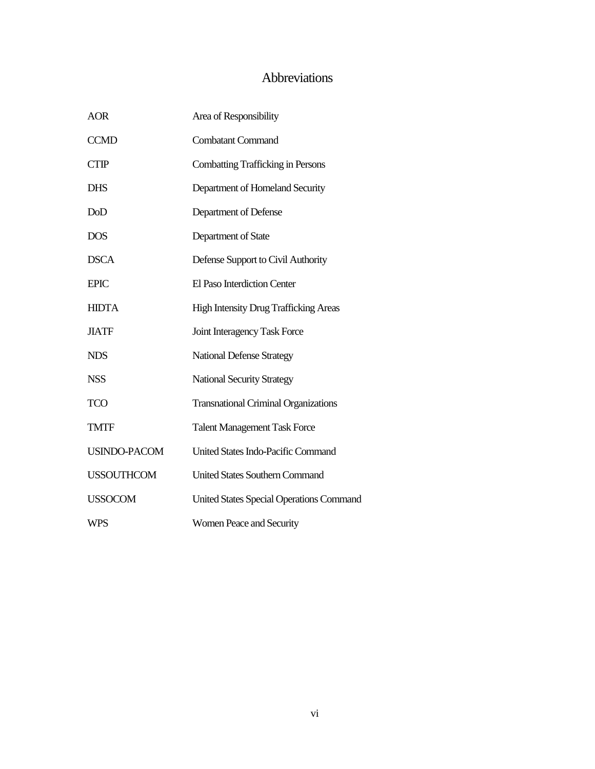# Abbreviations

<span id="page-6-0"></span>

| <b>AOR</b>          | Area of Responsibility                          |
|---------------------|-------------------------------------------------|
| <b>CCMD</b>         | <b>Combatant Command</b>                        |
| <b>CTIP</b>         | <b>Combatting Trafficking in Persons</b>        |
| <b>DHS</b>          | Department of Homeland Security                 |
| DoD                 | Department of Defense                           |
| <b>DOS</b>          | Department of State                             |
| <b>DSCA</b>         | Defense Support to Civil Authority              |
| <b>EPIC</b>         | El Paso Interdiction Center                     |
| <b>HIDTA</b>        | <b>High Intensity Drug Trafficking Areas</b>    |
| <b>JIATF</b>        | Joint Interagency Task Force                    |
| <b>NDS</b>          | <b>National Defense Strategy</b>                |
| <b>NSS</b>          | <b>National Security Strategy</b>               |
| <b>TCO</b>          | <b>Transnational Criminal Organizations</b>     |
| <b>TMTF</b>         | <b>Talent Management Task Force</b>             |
| <b>USINDO-PACOM</b> | United States Indo-Pacific Command              |
| <b>USSOUTHCOM</b>   | <b>United States Southern Command</b>           |
| <b>USSOCOM</b>      | <b>United States Special Operations Command</b> |
| WPS                 | <b>Women Peace and Security</b>                 |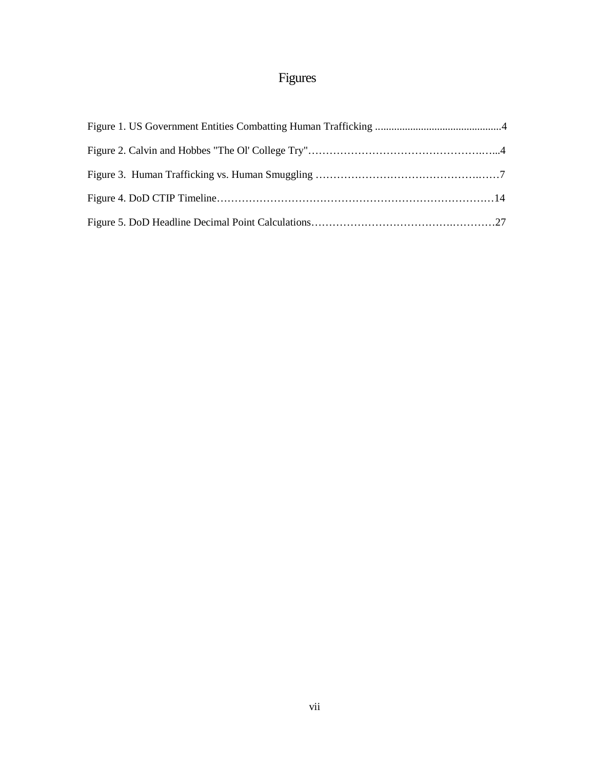# Figures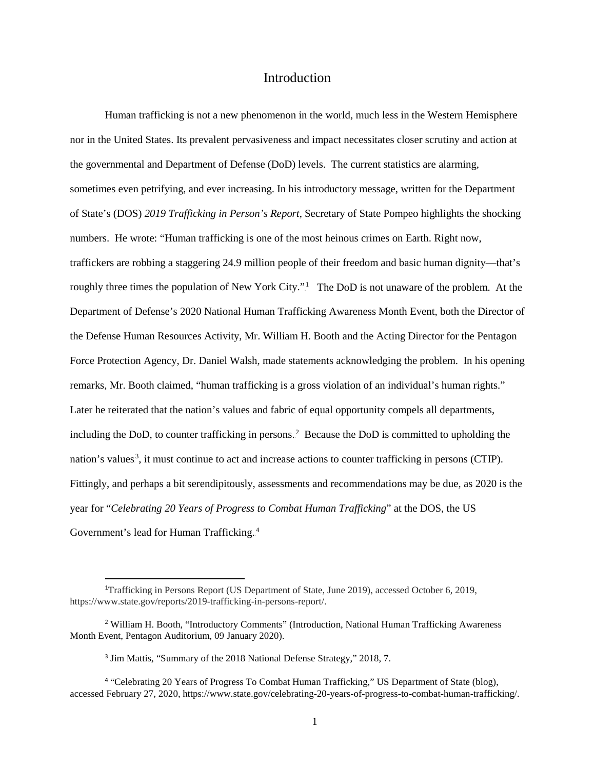# Introduction

Human trafficking is not a new phenomenon in the world, much less in the Western Hemisphere nor in the United States. Its prevalent pervasiveness and impact necessitates closer scrutiny and action at the governmental and Department of Defense (DoD) levels. The current statistics are alarming, sometimes even petrifying, and ever increasing. In his introductory message, written for the Department of State's (DOS) *2019 Trafficking in Person's Report*, Secretary of State Pompeo highlights the shocking numbers. He wrote: "Human trafficking is one of the most heinous crimes on Earth. Right now, traffickers are robbing a staggering 24.9 million people of their freedom and basic human dignity—that's roughly three times the population of New York City."<sup>1</sup> The DoD is not unaware of the problem. At the Department of Defense's 2020 National Human Trafficking Awareness Month Event, both the Director of the Defense Human Resources Activity, Mr. William H. Booth and the Acting Director for the Pentagon Force Protection Agency, Dr. Daniel Walsh, made statements acknowledging the problem. In his opening remarks, Mr. Booth claimed, "human trafficking is a gross violation of an individual's human rights." Later he reiterated that the nation's values and fabric of equal opportunity compels all departments, including the DoD, to counter trafficking in persons.<sup>2</sup> Because the DoD is committed to upholding the nation's values<sup>3</sup>, it must continue to act and increase actions to counter trafficking in persons (CTIP). Fittingly, and perhaps a bit serendipitously, assessments and recommendations may be due, as 2020 is the year for "*Celebrating 20 Years of Progress to Combat Human Trafficking*" at the DOS, the US Government's lead for Human Trafficking.<sup>4</sup>

 $\overline{\phantom{a}}$ 

<sup>&</sup>lt;sup>1</sup>Trafficking in Persons Report (US Department of State, June 2019), accessed October 6, 2019, https://www.state.gov/reports/2019-trafficking-in-persons-report/.

<sup>2</sup> William H. Booth, "Introductory Comments" (Introduction, National Human Trafficking Awareness Month Event, Pentagon Auditorium, 09 January 2020).

<sup>3</sup> Jim Mattis, "Summary of the 2018 National Defense Strategy," 2018, 7.

<sup>4</sup> "Celebrating 20 Years of Progress To Combat Human Trafficking," US Department of State (blog), accessed February 27, 2020, https://www.state.gov/celebrating-20-years-of-progress-to-combat-human-trafficking/.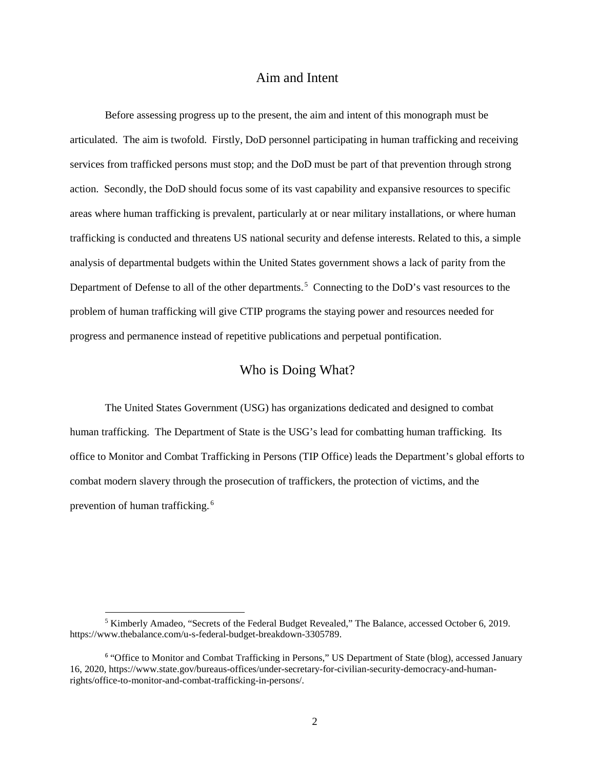## Aim and Intent

Before assessing progress up to the present, the aim and intent of this monograph must be articulated. The aim is twofold. Firstly, DoD personnel participating in human trafficking and receiving services from trafficked persons must stop; and the DoD must be part of that prevention through strong action. Secondly, the DoD should focus some of its vast capability and expansive resources to specific areas where human trafficking is prevalent, particularly at or near military installations, or where human trafficking is conducted and threatens US national security and defense interests. Related to this, a simple analysis of departmental budgets within the United States government shows a lack of parity from the Department of Defense to all of the other departments.<sup>5</sup> Connecting to the DoD's vast resources to the problem of human trafficking will give CTIP programs the staying power and resources needed for progress and permanence instead of repetitive publications and perpetual pontification.

# Who is Doing What?

The United States Government (USG) has organizations dedicated and designed to combat human trafficking. The Department of State is the USG's lead for combatting human trafficking. Its office to Monitor and Combat Trafficking in Persons (TIP Office) leads the Department's global efforts to combat modern slavery through the prosecution of traffickers, the protection of victims, and the prevention of human trafficking.<sup>6</sup>

 $<sup>5</sup>$  Kimberly Amadeo, "Secrets of the Federal Budget Revealed," The Balance, accessed October 6, 2019.</sup> [https://www.thebalance.com/u-s-federal-budget-breakdown-3305789.](https://www.thebalance.com/u-s-federal-budget-breakdown-3305789)

<sup>6</sup> "Office to Monitor and Combat Trafficking in Persons," US Department of State (blog), accessed January 16, 2020, https://www.state.gov/bureaus-offices/under-secretary-for-civilian-security-democracy-and-humanrights/office-to-monitor-and-combat-trafficking-in-persons/.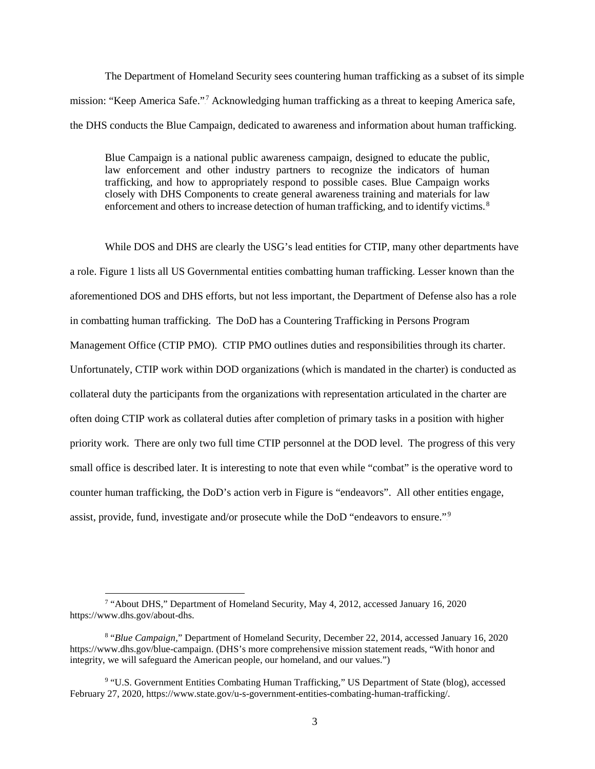The Department of Homeland Security sees countering human trafficking as a subset of its simple mission: "Keep America Safe."<sup>7</sup> Acknowledging human trafficking as a threat to keeping America safe, the DHS conducts the Blue Campaign, dedicated to awareness and information about human trafficking.

Blue Campaign is a national public awareness campaign, designed to educate the public, law enforcement and other industry partners to recognize the indicators of human trafficking, and how to appropriately respond to possible cases. Blue Campaign works closely with DHS Components to create general awareness training and materials for law enforcement and others to increase detection of human trafficking, and to identify victims.<sup>8</sup>

While DOS and DHS are clearly the USG's lead entities for CTIP, many other departments have a role. Figure 1 lists all US Governmental entities combatting human trafficking. Lesser known than the aforementioned DOS and DHS efforts, but not less important, the Department of Defense also has a role in combatting human trafficking. The DoD has a Countering Trafficking in Persons Program Management Office (CTIP PMO). CTIP PMO outlines duties and responsibilities through its charter. Unfortunately, CTIP work within DOD organizations (which is mandated in the charter) is conducted as collateral duty the participants from the organizations with representation articulated in the charter are often doing CTIP work as collateral duties after completion of primary tasks in a position with higher priority work. There are only two full time CTIP personnel at the DOD level. The progress of this very small office is described later. It is interesting to note that even while "combat" is the operative word to counter human trafficking, the DoD's action verb in Figure is "endeavors". All other entities engage, assist, provide, fund, investigate and/or prosecute while the DoD "endeavors to ensure."<sup>9</sup>

<sup>&</sup>lt;sup>7</sup> "About DHS," Department of Homeland Security, May 4, 2012, accessed January 16, 2020 https://www.dhs.gov/about-dhs.

<sup>8</sup> "*Blue Campaign*," Department of Homeland Security, December 22, 2014, accessed January 16, 2020 https://www.dhs.gov/blue-campaign. (DHS's more comprehensive mission statement reads, "With honor and integrity, we will safeguard the American people, our homeland, and our values.")

<sup>9</sup> "U.S. Government Entities Combating Human Trafficking," US Department of State (blog), accessed February 27, 2020, https://www.state.gov/u-s-government-entities-combating-human-trafficking/.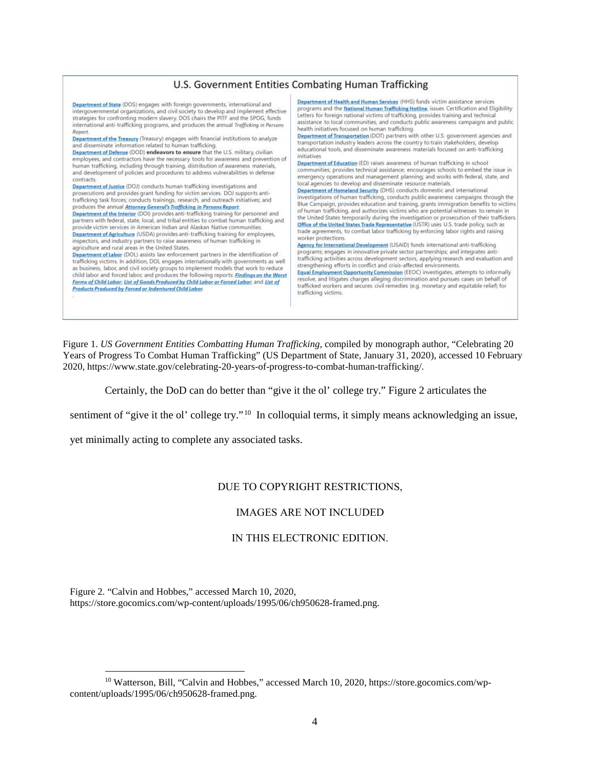#### U.S. Government Entities Combating Human Trafficking Department of Health and Human Services (HHS) funds victim assistance services Department of State (DOS) engages with foreign governments, international and programs and the National Human Trafficking Hotline, issues Certification and Eligibility intergovernmental organizations, and civil society to develop and implement effective<br>strategies for confronting modern slavery. DOS chairs the PITF and the SPOG, funds Letters for foreign national victims of trafficking, provides training and technical assistance to local communities, and conducts public awareness campaigns and public international anti-trafficking programs, and produces the annual Trafficking in Persons health initiatives focused on human trafficking. Report. Department of Transportation (DOT) partners with other U.S. government agencies and Department of the Treasury (Treasury) engages with financial institutions to analyze transportation industry leaders across the country to train stakeholders, develop and disseminate information related to human trafficking.<br>Department of Defense (DOD) endeavors to ensure that the U.S. military, civilian educational tools, and disseminate awareness materials focused on anti-trafficking initiatives employees, and contractors have the necessary tools for awareness and prevention of Department of Education (ED) raises awareness of human trafficking in school human trafficking, including through training, distribution of awareness materials, communities; provides technical assistance; encourages schools to embed the issue in and development of policies and procedures to address vulnerabilities in defense emergency operations and management planning; and works with federal, state, and contracts. local agencies to develop and disseminate resource materials. Department of Justice (DOJ) conducts human trafficking investigations and Department of Homeland Security (DHS) conducts domestic and international prosecutions and provides grant funding for victim services. DOJ supports antiinvestigations of human trafficking, conducts public awareness campaigns through the trafficking task forces; conducts trainings, research, and outreach initiatives; and Blue Campaign, provides education and training, grants immigration benefits to victim produces the annual Attorney General's Trafficking in Persons Report. of human trafficking, and authorizes victims who are potential witnesses to remain in Department of the Interior (DOI) provides anti-trafficking training for personnel and the United States temporarily during the investigation or prosecution of their traffickers partners with federal, state, local, and tribal entities to combat human trafficking and Office of the United States Trade Representative (USTR) uses U.S. trade policy, such as<br>trade agreements, to combat labor trafficking by enforcing labor rights and raising provide victim services in American Indian and Alaskan Native communities. Department of Agriculture (USDA) provides anti-trafficking training for employee worker protections inspectors, and industry partners to raise awareness of human trafficking in Agency for International Development (USAID) funds international anti-trafficking agriculture and rural areas in the United States. programs; engages in innovative private sector partnerships; and integrates anti-**Department of Labor** (DOL) assists law enforcement partners in the identification of trafficking activities across development sectors, applying research and evaluation and trafficking victims. In addition, DOL engages internationally with governments as well strengthening efforts in conflict and crisis-affected environments. as business, labor, and civil society groups to implement models that work to reduce<br>child labor and forced labor, and produces the following reports: Findings on the Worst Equal Employment Opportunity Commission (EEOC) investigates, attempts to informally resolve, and litigates charges alleging discrimination and pursues cases on behalf of Forms of Child Labor; List of Goods Produced by Child Labor or Forced Labor; and List of trafficked workers and secures civil remedies (e.g. monetary and equitable relief) for Products Produced by Forced or Indentured Child Labor. trafficking victims.

Figure 1. *US Government Entities Combatting Human Trafficking,* compiled by monograph author, "Celebrating 20 Years of Progress To Combat Human Trafficking" (US Department of State, January 31, 2020), accessed 10 February 2020, https://www.state.gov/celebrating-20-years-of-progress-to-combat-human-trafficking/.

Certainly, the DoD can do better than "give it the ol' college try." Figure 2 articulates the

sentiment of "give it the ol' college try."<sup>10</sup> In colloquial terms, it simply means acknowledging an issue,

yet minimally acting to complete any associated tasks.

### DUE TO COPYRIGHT RESTRICTIONS,

#### IMAGES ARE NOT INCLUDED

#### IN THIS ELECTRONIC EDITION.

Figure 2. "Calvin and Hobbes," accessed March 10, 2020, https://store.gocomics.com/wp-content/uploads/1995/06/ch950628-framed.png.

<sup>10</sup> Watterson, Bill, "Calvin and Hobbes," accessed March 10, 2020, https://store.gocomics.com/wpcontent/uploads/1995/06/ch950628-framed.png.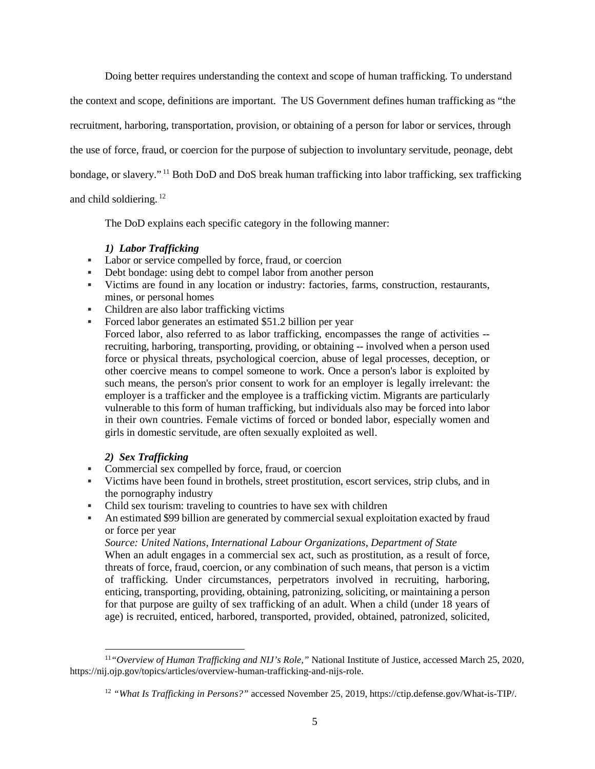Doing better requires understanding the context and scope of human trafficking. To understand the context and scope, definitions are important. The US Government defines human trafficking as "the recruitment, harboring, transportation, provision, or obtaining of a person for labor or services, through the use of force, fraud, or coercion for the purpose of subjection to involuntary servitude, peonage, debt bondage, or slavery."<sup>11</sup> Both DoD and DoS break human trafficking into labor trafficking, sex trafficking and child soldiering.<sup>12</sup>

The DoD explains each specific category in the following manner:

#### *1) Labor Trafficking*

- **Labor or service compelled by force, fraud, or coercion**
- Debt bondage: using debt to compel labor from another person
- Victims are found in any location or industry: factories, farms, construction, restaurants, mines, or personal homes
- Children are also labor trafficking victims
- Forced labor generates an estimated \$51.2 billion per year Forced labor, also referred to as labor trafficking, encompasses the range of activities - recruiting, harboring, transporting, providing, or obtaining -- involved when a person used force or physical threats, psychological coercion, abuse of legal processes, deception, or other coercive means to compel someone to work. Once a person's labor is exploited by such means, the person's prior consent to work for an employer is legally irrelevant: the employer is a trafficker and the employee is a trafficking victim. Migrants are particularly vulnerable to this form of human trafficking, but individuals also may be forced into labor in their own countries. Female victims of forced or bonded labor, especially women and girls in domestic servitude, are often sexually exploited as well.

### *2) Sex Trafficking*

l

- Commercial sex compelled by force, fraud, or coercion
- Victims have been found in brothels, street prostitution, escort services, strip clubs, and in the pornography industry
- Child sex tourism: traveling to countries to have sex with children
- An estimated \$99 billion are generated by commercial sexual exploitation exacted by fraud or force per year

*Source: United Nations, International Labour Organizations, Department of State*

When an adult engages in a commercial sex act, such as prostitution, as a result of force, threats of force, fraud, coercion, or any combination of such means, that person is a victim of trafficking. Under circumstances, perpetrators involved in recruiting, harboring, enticing, transporting, providing, obtaining, patronizing, soliciting, or maintaining a person for that purpose are guilty of sex trafficking of an adult. When a child (under 18 years of age) is recruited, enticed, harbored, transported, provided, obtained, patronized, solicited,

<sup>11</sup>*"Overview of Human Trafficking and NIJ's Role,"* National Institute of Justice, accessed March 25, 2020, https://nij.ojp.gov/topics/articles/overview-human-trafficking-and-nijs-role.

<sup>12</sup> *"What Is Trafficking in Persons?"* accessed November 25, 2019, https://ctip.defense.gov/What-is-TIP/.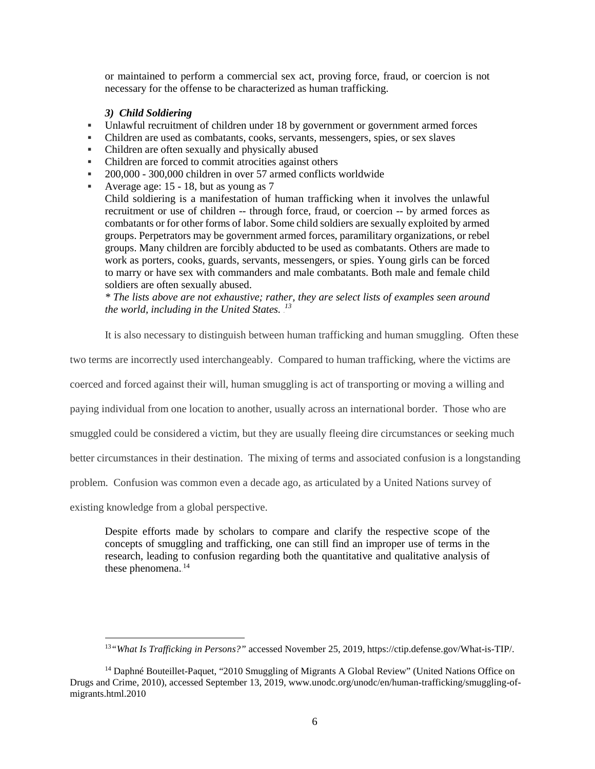or maintained to perform a commercial sex act, proving force, fraud, or coercion is not necessary for the offense to be characterized as human trafficking.

#### *3) Child Soldiering*

- Unlawful recruitment of children under 18 by government or government armed forces
- Children are used as combatants, cooks, servants, messengers, spies, or sex slaves
- Children are often sexually and physically abused
- Children are forced to commit atrocities against others
- 200,000 300,000 children in over 57 armed conflicts worldwide
- Average age:  $15 18$ , but as young as 7

Child soldiering is a manifestation of human trafficking when it involves the unlawful recruitment or use of children -- through force, fraud, or coercion -- by armed forces as combatants or for other forms of labor. Some child soldiers are sexually exploited by armed groups. Perpetrators may be government armed forces, paramilitary organizations, or rebel groups. Many children are forcibly abducted to be used as combatants. Others are made to work as porters, cooks, guards, servants, messengers, or spies. Young girls can be forced to marry or have sex with commanders and male combatants. Both male and female child soldiers are often sexually abused.

*\* The lists above are not exhaustive; rather, they are select lists of examples seen around*  the world, including in the United States.<sup>13</sup>

It is also necessary to distinguish between human trafficking and human smuggling. Often these

two terms are incorrectly used interchangeably. Compared to human trafficking, where the victims are

coerced and forced against their will, human smuggling is act of transporting or moving a willing and

paying individual from one location to another, usually across an international border. Those who are

smuggled could be considered a victim, but they are usually fleeing dire circumstances or seeking much

better circumstances in their destination. The mixing of terms and associated confusion is a longstanding

problem. Confusion was common even a decade ago, as articulated by a United Nations survey of

existing knowledge from a global perspective.

 $\overline{\phantom{a}}$ 

Despite efforts made by scholars to compare and clarify the respective scope of the concepts of smuggling and trafficking, one can still find an improper use of terms in the research, leading to confusion regarding both the quantitative and qualitative analysis of these phenomena.<sup>14</sup>

<sup>13</sup>*"What Is Trafficking in Persons?"* accessed November 25, 2019, https://ctip.defense.gov/What-is-TIP/.

<sup>&</sup>lt;sup>14</sup> Daphné Bouteillet-Paquet, "2010 Smuggling of Migrants A Global Review" (United Nations Office on Drugs and Crime, 2010), accessed September 13, 2019, www.unodc.org/unodc/en/human-trafficking/smuggling-ofmigrants.html.2010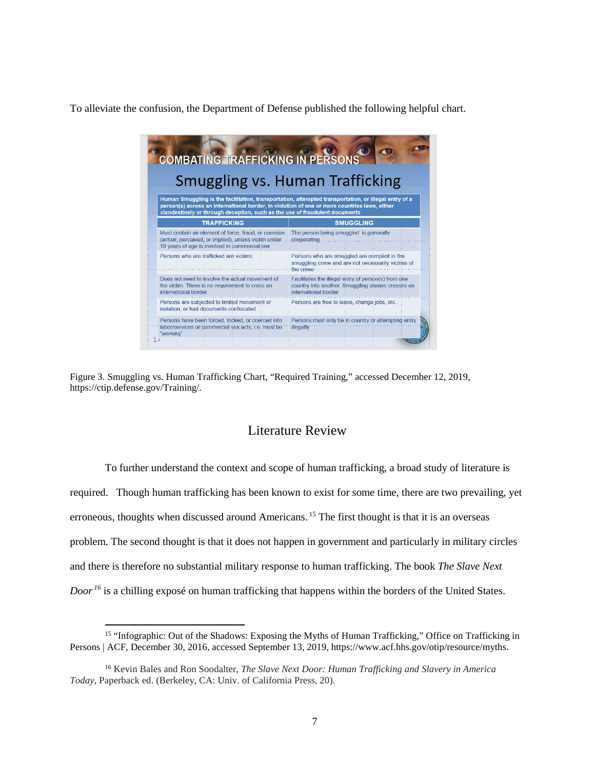To alleviate the confusion, the Department of Defense published the following helpful chart.

|                                                                                                                                                                                                                                                                                     |                                                 |                                                                                                              |                      | <b>COMBATING TRAFFICKING IN PERSONS</b> |                                              |                                                                                                          |  |  |  |  |  |  |
|-------------------------------------------------------------------------------------------------------------------------------------------------------------------------------------------------------------------------------------------------------------------------------------|-------------------------------------------------|--------------------------------------------------------------------------------------------------------------|----------------------|-----------------------------------------|----------------------------------------------|----------------------------------------------------------------------------------------------------------|--|--|--|--|--|--|
| <b>Smuggling vs. Human Trafficking</b>                                                                                                                                                                                                                                              |                                                 |                                                                                                              |                      |                                         |                                              |                                                                                                          |  |  |  |  |  |  |
| Human Smuggling is the facilitation, transportation, attempted transportation, or illegal entry of a<br>person(s) across an international border, in violation of one or more countries laws, either<br>clandestinely or through deception, such as the use of fraudulent documents |                                                 |                                                                                                              |                      |                                         |                                              |                                                                                                          |  |  |  |  |  |  |
|                                                                                                                                                                                                                                                                                     | <b>TRAFFICKING</b>                              |                                                                                                              |                      | <b>SMUGGLING</b>                        |                                              |                                                                                                          |  |  |  |  |  |  |
|                                                                                                                                                                                                                                                                                     | 18 years of age is involved in commercial sex   | Must contain an element of force, fraud, or coercion<br>(actual, perceived, or implied), unless victim under |                      | cooperating                             | The person being smuggled is generally       |                                                                                                          |  |  |  |  |  |  |
|                                                                                                                                                                                                                                                                                     | Persons who are trafficked are victims          |                                                                                                              | the crime.           |                                         |                                              | Persons who are smuggled are complicit in the<br>smuggling crime and are not necessarily victims of      |  |  |  |  |  |  |
| international border                                                                                                                                                                                                                                                                | the victim. There is no requirement to cross an | Does not need to involve the actual movement of                                                              | international border |                                         |                                              | Facilitates the illegal entry of person(s) from one<br>country into another. Smuggling always crosses an |  |  |  |  |  |  |
|                                                                                                                                                                                                                                                                                     | Persons are subjected to limited movement or    | isolation, or had documents confiscated                                                                      |                      |                                         | Persons are free to leave, change jobs, etc. |                                                                                                          |  |  |  |  |  |  |

Figure 3. Smuggling vs. Human Trafficking Chart, "Required Training," accessed December 12, 2019, https://ctip.defense.gov/Training/.

# Literature Review

To further understand the context and scope of human trafficking, a broad study of literature is required. Though human trafficking has been known to exist for some time, there are two prevailing, yet erroneous, thoughts when discussed around Americans.<sup>15</sup> The first thought is that it is an overseas problem. The second thought is that it does not happen in government and particularly in military circles and there is therefore no substantial military response to human trafficking. The book *The Slave Next Door.*<sup>16</sup> is a chilling exposé on human trafficking that happens within the borders of the United States.

 $\overline{\phantom{a}}$ 

<sup>&</sup>lt;sup>15</sup> "Infographic: Out of the Shadows: Exposing the Myths of Human Trafficking," Office on Trafficking in Persons | ACF, December 30, 2016, accessed September 13, 2019, https://www.acf.hhs.gov/otip/resource/myths.

<sup>16</sup> Kevin Bales and Ron Soodalter, *The Slave Next Door: Human Trafficking and Slavery in America Today*, Paperback ed. (Berkeley, CA: Univ. of California Press, 20).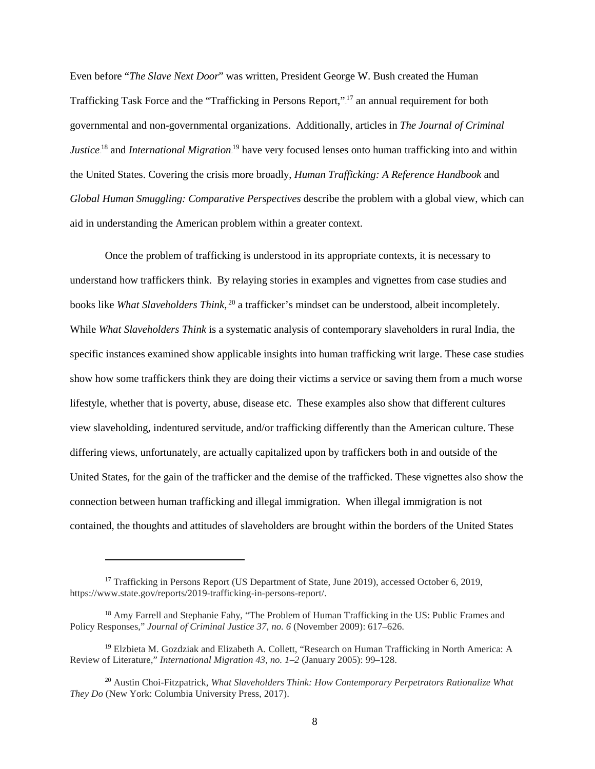Even before "*The Slave Next Door*" was written, President George W. Bush created the Human Trafficking Task Force and the "Trafficking in Persons Report,"<sup>17</sup> an annual requirement for both governmental and non-governmental organizations. Additionally, articles in *The Journal of Criminal Justice*<sup>18</sup> and *International Migration*<sup>19</sup> have very focused lenses onto human trafficking into and within the United States. Covering the crisis more broadly, *Human Trafficking: A Reference Handbook* and *Global Human Smuggling: Comparative Perspectives* describe the problem with a global view, which can aid in understanding the American problem within a greater context.

Once the problem of trafficking is understood in its appropriate contexts, it is necessary to understand how traffickers think. By relaying stories in examples and vignettes from case studies and books like What Slaveholders Think,<sup>20</sup> a trafficker's mindset can be understood, albeit incompletely. While *What Slaveholders Think* is a systematic analysis of contemporary slaveholders in rural India, the specific instances examined show applicable insights into human trafficking writ large. These case studies show how some traffickers think they are doing their victims a service or saving them from a much worse lifestyle, whether that is poverty, abuse, disease etc. These examples also show that different cultures view slaveholding, indentured servitude, and/or trafficking differently than the American culture. These differing views, unfortunately, are actually capitalized upon by traffickers both in and outside of the United States, for the gain of the trafficker and the demise of the trafficked. These vignettes also show the connection between human trafficking and illegal immigration. When illegal immigration is not contained, the thoughts and attitudes of slaveholders are brought within the borders of the United States

 $\overline{a}$ 

<sup>&</sup>lt;sup>17</sup> Trafficking in Persons Report (US Department of State, June 2019), accessed October 6, 2019, https://www.state.gov/reports/2019-trafficking-in-persons-report/.

<sup>&</sup>lt;sup>18</sup> Amy Farrell and Stephanie Fahy, "The Problem of Human Trafficking in the US: Public Frames and Policy Responses," *Journal of Criminal Justice 37, no. 6* (November 2009): 617–626.

<sup>&</sup>lt;sup>19</sup> Elzbieta M. Gozdziak and Elizabeth A. Collett, "Research on Human Trafficking in North America: A Review of Literature," *International Migration 43, no. 1–2* (January 2005): 99–128.

<sup>20</sup> Austin Choi-Fitzpatrick, *What Slaveholders Think: How Contemporary Perpetrators Rationalize What They Do* (New York: Columbia University Press, 2017).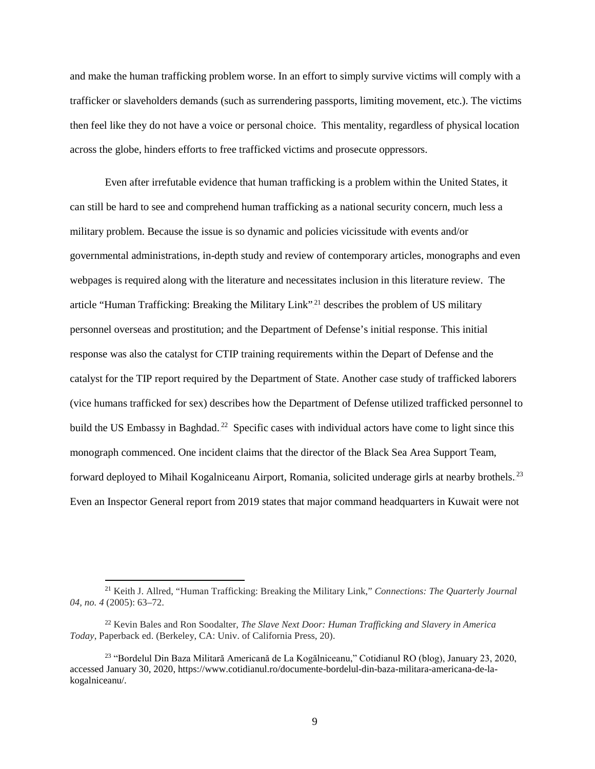and make the human trafficking problem worse. In an effort to simply survive victims will comply with a trafficker or slaveholders demands (such as surrendering passports, limiting movement, etc.). The victims then feel like they do not have a voice or personal choice. This mentality, regardless of physical location across the globe, hinders efforts to free trafficked victims and prosecute oppressors.

Even after irrefutable evidence that human trafficking is a problem within the United States, it can still be hard to see and comprehend human trafficking as a national security concern, much less a military problem. Because the issue is so dynamic and policies vicissitude with events and/or governmental administrations, in-depth study and review of contemporary articles, monographs and even webpages is required along with the literature and necessitates inclusion in this literature review. The article "Human Trafficking: Breaking the Military Link".<sup>21</sup> describes the problem of US military personnel overseas and prostitution; and the Department of Defense's initial response. This initial response was also the catalyst for CTIP training requirements within the Depart of Defense and the catalyst for the TIP report required by the Department of State. Another case study of trafficked laborers (vice humans trafficked for sex) describes how the Department of Defense utilized trafficked personnel to build the US Embassy in Baghdad.<sup>22</sup> Specific cases with individual actors have come to light since this monograph commenced. One incident claims that the director of the Black Sea Area Support Team, forward deployed to Mihail Kogalniceanu Airport, Romania, solicited underage girls at nearby brothels.<sup>23</sup> Even an Inspector General report from 2019 states that major command headquarters in Kuwait were not

<sup>21</sup> Keith J. Allred, "Human Trafficking: Breaking the Military Link," *Connections: The Quarterly Journal 04, no. 4* (2005): 63–72.

<sup>22</sup> Kevin Bales and Ron Soodalter, *The Slave Next Door: Human Trafficking and Slavery in America Today*, Paperback ed. (Berkeley, CA: Univ. of California Press, 20).

<sup>23</sup> "Bordelul Din Baza Militară Americană de La Kogălniceanu," Cotidianul RO (blog), January 23, 2020, accessed January 30, 2020, https://www.cotidianul.ro/documente-bordelul-din-baza-militara-americana-de-lakogalniceanu/.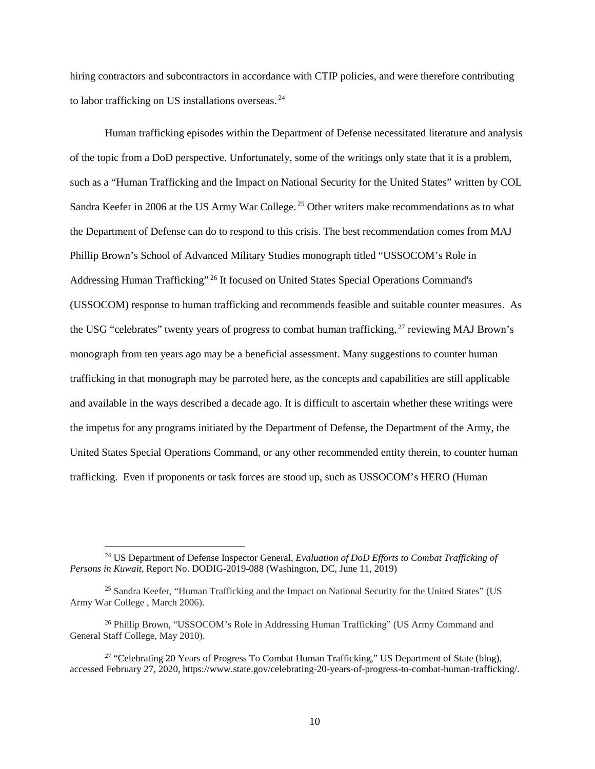hiring contractors and subcontractors in accordance with CTIP policies, and were therefore contributing to labor trafficking on US installations overseas. $24$ 

Human trafficking episodes within the Department of Defense necessitated literature and analysis of the topic from a DoD perspective. Unfortunately, some of the writings only state that it is a problem, such as a "Human Trafficking and the Impact on National Security for the United States" written by COL Sandra Keefer in 2006 at the US Army War College.<sup>25</sup> Other writers make recommendations as to what the Department of Defense can do to respond to this crisis. The best recommendation comes from MAJ Phillip Brown's School of Advanced Military Studies monograph titled "USSOCOM's Role in Addressing Human Trafficking".<sup>26</sup> It focused on United States Special Operations Command's (USSOCOM) response to human trafficking and recommends feasible and suitable counter measures. As the USG "celebrates" twenty years of progress to combat human trafficking, <sup>27</sup> reviewing MAJ Brown's monograph from ten years ago may be a beneficial assessment. Many suggestions to counter human trafficking in that monograph may be parroted here, as the concepts and capabilities are still applicable and available in the ways described a decade ago. It is difficult to ascertain whether these writings were the impetus for any programs initiated by the Department of Defense, the Department of the Army, the United States Special Operations Command, or any other recommended entity therein, to counter human trafficking. Even if proponents or task forces are stood up, such as USSOCOM's HERO (Human

<sup>24</sup> US Department of Defense Inspector General, *Evaluation of DoD Efforts to Combat Trafficking of Persons in Kuwait,* Report No. DODIG-2019-088 (Washington, DC, June 11, 2019)

<sup>&</sup>lt;sup>25</sup> Sandra Keefer, "Human Trafficking and the Impact on National Security for the United States" (US Army War College , March 2006).

<sup>&</sup>lt;sup>26</sup> Phillip Brown, "USSOCOM's Role in Addressing Human Trafficking" (US Army Command and General Staff College, May 2010).

<sup>&</sup>lt;sup>27</sup> "Celebrating 20 Years of Progress To Combat Human Trafficking," US Department of State (blog), accessed February 27, 2020, https://www.state.gov/celebrating-20-years-of-progress-to-combat-human-trafficking/.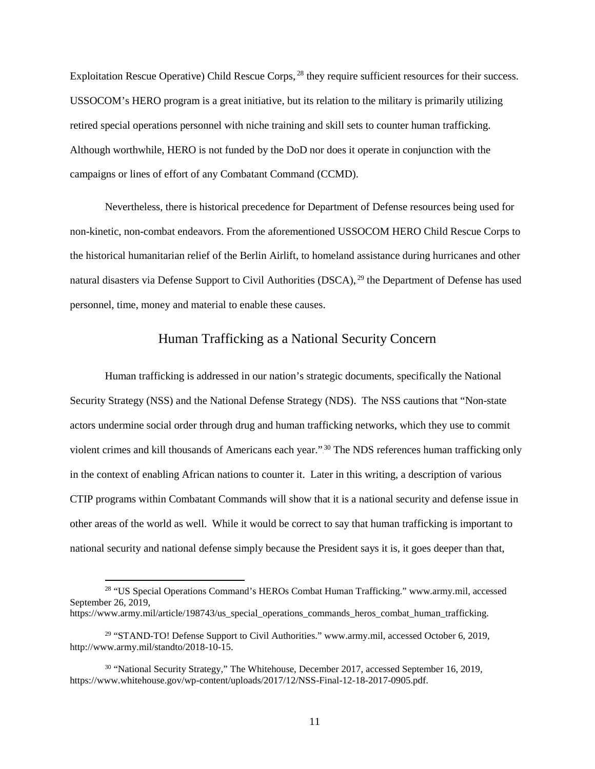Exploitation Rescue Operative) Child Rescue Corps, <sup>28</sup> they require sufficient resources for their success. USSOCOM's HERO program is a great initiative, but its relation to the military is primarily utilizing retired special operations personnel with niche training and skill sets to counter human trafficking. Although worthwhile, HERO is not funded by the DoD nor does it operate in conjunction with the campaigns or lines of effort of any Combatant Command (CCMD).

Nevertheless, there is historical precedence for Department of Defense resources being used for non-kinetic, non-combat endeavors. From the aforementioned USSOCOM HERO Child Rescue Corps to the historical humanitarian relief of the Berlin Airlift, to homeland assistance during hurricanes and other natural disasters via Defense Support to Civil Authorities (DSCA),<sup>29</sup> the Department of Defense has used personnel, time, money and material to enable these causes.

# Human Trafficking as a National Security Concern

Human trafficking is addressed in our nation's strategic documents, specifically the National Security Strategy (NSS) and the National Defense Strategy (NDS). The NSS cautions that "Non-state actors undermine social order through drug and human trafficking networks, which they use to commit violent crimes and kill thousands of Americans each year."<sup>30</sup> The NDS references human trafficking only in the context of enabling African nations to counter it. Later in this writing, a description of various CTIP programs within Combatant Commands will show that it is a national security and defense issue in other areas of the world as well. While it would be correct to say that human trafficking is important to national security and national defense simply because the President says it is, it goes deeper than that,

<sup>&</sup>lt;sup>28</sup> "US Special Operations Command's HEROs Combat Human Trafficking." www.army.mil, accessed September 26, 2019,

https://www.army.mil/article/198743/us\_special\_operations\_commands\_heros\_combat\_human\_trafficking.

<sup>&</sup>lt;sup>29</sup> "STAND-TO! Defense Support to Civil Authorities." www.army.mil, accessed October 6, 2019, [http://www.army.mil/standto/2018-10-15.](http://www.army.mil/standto/2018-10-15)

<sup>&</sup>lt;sup>30</sup> "National Security Strategy," The Whitehouse, December 2017, accessed September 16, 2019, https://www.whitehouse.gov/wp-content/uploads/2017/12/NSS-Final-12-18-2017-0905.pdf.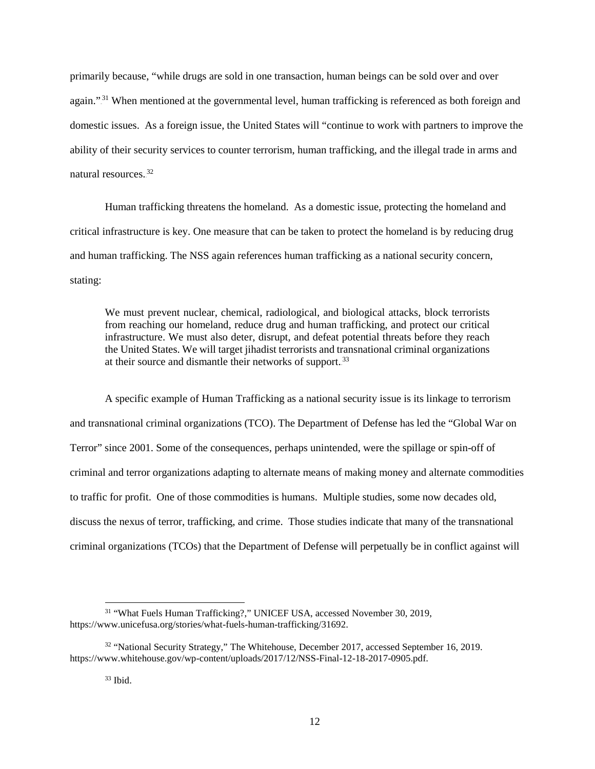primarily because, "while drugs are sold in one transaction, human beings can be sold over and over again."<sup>31</sup> When mentioned at the governmental level, human trafficking is referenced as both foreign and domestic issues. As a foreign issue, the United States will "continue to work with partners to improve the ability of their security services to counter terrorism, human trafficking, and the illegal trade in arms and natural resources.<sup>32</sup>

 Human trafficking threatens the homeland. As a domestic issue, protecting the homeland and critical infrastructure is key. One measure that can be taken to protect the homeland is by reducing drug and human trafficking. The NSS again references human trafficking as a national security concern, stating:

We must prevent nuclear, chemical, radiological, and biological attacks, block terrorists from reaching our homeland, reduce drug and human trafficking, and protect our critical infrastructure. We must also deter, disrupt, and defeat potential threats before they reach the United States. We will target jihadist terrorists and transnational criminal organizations at their source and dismantle their networks of support.<sup>33</sup>

A specific example of Human Trafficking as a national security issue is its linkage to terrorism and transnational criminal organizations (TCO). The Department of Defense has led the "Global War on Terror" since 2001. Some of the consequences, perhaps unintended, were the spillage or spin-off of criminal and terror organizations adapting to alternate means of making money and alternate commodities to traffic for profit. One of those commodities is humans. Multiple studies, some now decades old, discuss the nexus of terror, trafficking, and crime. Those studies indicate that many of the transnational criminal organizations (TCOs) that the Department of Defense will perpetually be in conflict against will

<sup>&</sup>lt;sup>31</sup> "What Fuels Human Trafficking?," UNICEF USA, accessed November 30, 2019, https://www.unicefusa.org/stories/what-fuels-human-trafficking/31692.

 $32$  "National Security Strategy," The Whitehouse, December 2017, accessed September 16, 2019. https://www.whitehouse.gov/wp-content/uploads/2017/12/NSS-Final-12-18-2017-0905.pdf.

 $33$  Ibid.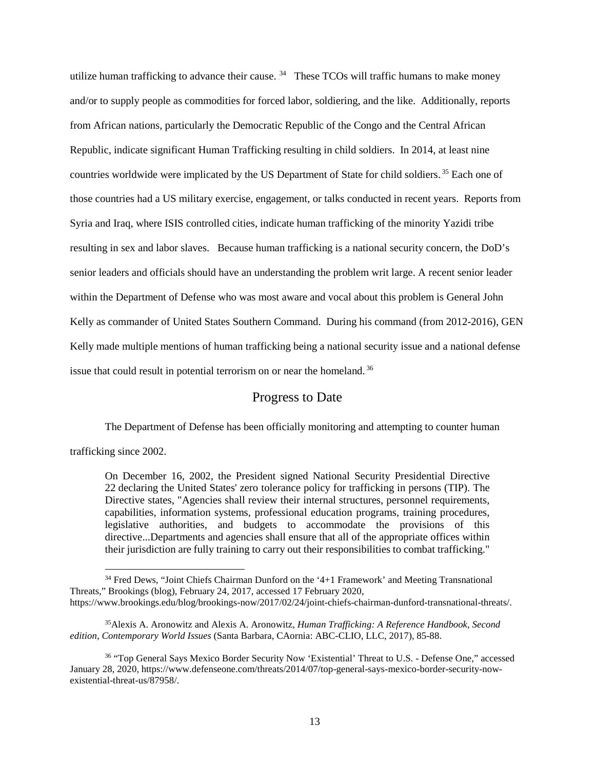utilize human trafficking to advance their cause.  $34$  These TCOs will traffic humans to make money and/or to supply people as commodities for forced labor, soldiering, and the like. Additionally, reports from African nations, particularly the Democratic Republic of the Congo and the Central African Republic, indicate significant Human Trafficking resulting in child soldiers. In 2014, at least nine countries worldwide were implicated by the US Department of State for child soldiers.<sup>35</sup> Each one of those countries had a US military exercise, engagement, or talks conducted in recent years. Reports from Syria and Iraq, where ISIS controlled cities, indicate human trafficking of the minority Yazidi tribe resulting in sex and labor slaves. Because human trafficking is a national security concern, the DoD's senior leaders and officials should have an understanding the problem writ large. A recent senior leader within the Department of Defense who was most aware and vocal about this problem is General John Kelly as commander of United States Southern Command. During his command (from 2012-2016), GEN Kelly made multiple mentions of human trafficking being a national security issue and a national defense issue that could result in potential terrorism on or near the homeland.<sup>36</sup>

# Progress to Date

The Department of Defense has been officially monitoring and attempting to counter human

trafficking since 2002.

 $\overline{\phantom{a}}$ 

On December 16, 2002, the President signed National Security Presidential Directive 22 declaring the United States' zero tolerance policy for trafficking in persons (TIP). The Directive states, "Agencies shall review their internal structures, personnel requirements, capabilities, information systems, professional education programs, training procedures, legislative authorities, and budgets to accommodate the provisions of this directive...Departments and agencies shall ensure that all of the appropriate offices within their jurisdiction are fully training to carry out their responsibilities to combat trafficking."

<sup>34</sup> Fred Dews, "Joint Chiefs Chairman Dunford on the '4+1 Framework' and Meeting Transnational Threats," Brookings (blog), February 24, 2017, accessed 17 February 2020, https://www.brookings.edu/blog/brookings-now/2017/02/24/joint-chiefs-chairman-dunford-transnational-threats/.

<sup>35</sup>Alexis A. Aronowitz and Alexis A. Aronowitz, *Human Trafficking: A Reference Handbook, Second edition, Contemporary World Issues* (Santa Barbara, CAornia: ABC-CLIO, LLC, 2017), 85-88.

<sup>36</sup> "Top General Says Mexico Border Security Now 'Existential' Threat to U.S. - Defense One," accessed January 28, 2020[, https://www.defenseone.com/threats/2014/07/top-general-says-mexico-border-security-now](https://www.defenseone.com/threats/2014/07/top-general-says-mexico-border-security-now-existential-threat-us/87958/)[existential-threat-us/87958/.](https://www.defenseone.com/threats/2014/07/top-general-says-mexico-border-security-now-existential-threat-us/87958/)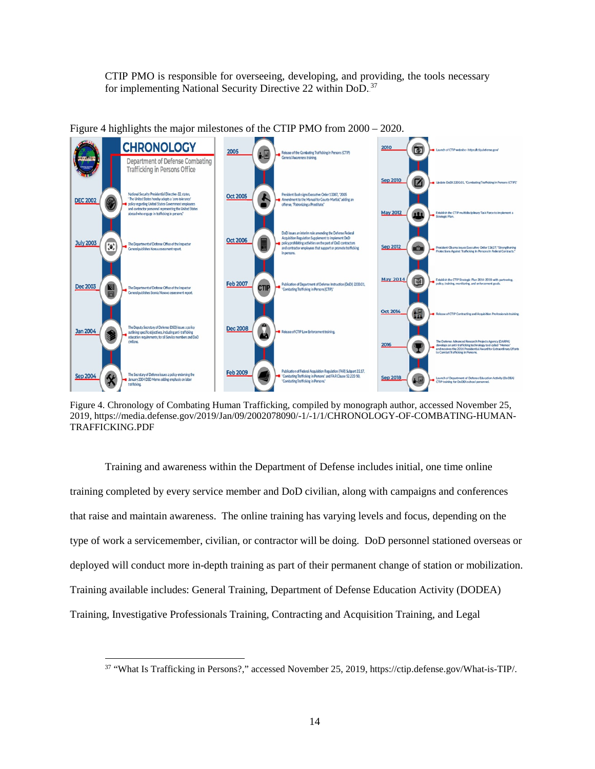CTIP PMO is responsible for overseeing, developing, and providing, the tools necessary for implementing National Security Directive 22 within DoD.<sup>37</sup>



Figure 4 highlights the major milestones of the CTIP PMO from 2000 – 2020.

Figure 4. Chronology of Combating Human Trafficking, compiled by monograph author, accessed November 25, 2019, https://media.defense.gov/2019/Jan/09/2002078090/-1/-1/1/CHRONOLOGY-OF-COMBATING-HUMAN-TRAFFICKING.PDF

Training and awareness within the Department of Defense includes initial, one time online training completed by every service member and DoD civilian, along with campaigns and conferences that raise and maintain awareness. The online training has varying levels and focus, depending on the type of work a servicemember, civilian, or contractor will be doing. DoD personnel stationed overseas or deployed will conduct more in-depth training as part of their permanent change of station or mobilization. Training available includes: General Training, Department of Defense Education Activity (DODEA) Training, Investigative Professionals Training, Contracting and Acquisition Training, and Legal

 $\overline{\phantom{a}}$ 

<sup>37</sup> "What Is Trafficking in Persons?," accessed November 25, 2019, https://ctip.defense.gov/What-is-TIP/.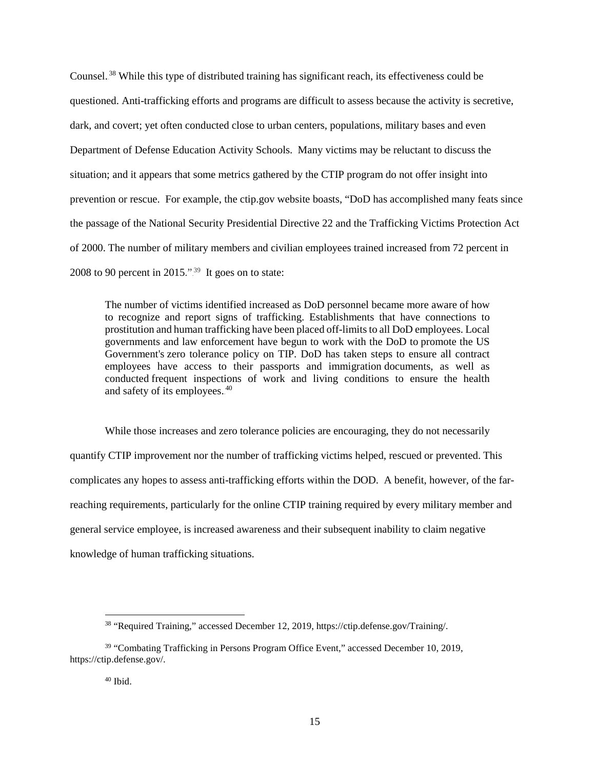Counsel.<sup>38</sup> While this type of distributed training has significant reach, its effectiveness could be questioned. Anti-trafficking efforts and programs are difficult to assess because the activity is secretive, dark, and covert; yet often conducted close to urban centers, populations, military bases and even Department of Defense Education Activity Schools. Many victims may be reluctant to discuss the situation; and it appears that some metrics gathered by the CTIP program do not offer insight into prevention or rescue. For example, the ctip.gov website boasts, "DoD has accomplished many feats since the passage of the National Security Presidential Directive 22 and the Trafficking Victims Protection Act of 2000. The number of military members and civilian employees trained increased from [72 percent](http://www.defense.gov/News-Article-View/Article/603878/official-reports-progress-in-awareness-of-human-trafficking) in 2008 to 90 percent in  $2015$ ."<sup>39</sup> It goes on to state:

The number of victims identified increased as DoD personnel became more aware of how to recognize and report signs of trafficking. Establishments that have connections to prostitution and human trafficking have been placed off-limits to all DoD employees. Local governments and law enforcement have begun to work with the DoD to promote the US Government's zero tolerance policy on TIP. DoD has taken steps to ensure all contract employees have access to their passports and immigration documents, as well as conducted frequent inspections of work and living conditions to ensure the health and safety of its employees.<sup>40</sup>

While those increases and zero tolerance policies are encouraging, they do not necessarily quantify CTIP improvement nor the number of trafficking victims helped, rescued or prevented. This complicates any hopes to assess anti-trafficking efforts within the DOD. A benefit, however, of the farreaching requirements, particularly for the online CTIP training required by every military member and general service employee, is increased awareness and their subsequent inability to claim negative knowledge of human trafficking situations.

<sup>38</sup> "Required Training," accessed December 12, 2019[, https://ctip.defense.gov/Training/.](https://ctip.defense.gov/Training/)

<sup>&</sup>lt;sup>39</sup> "Combating Trafficking in Persons Program Office Event," accessed December 10, 2019, [https://ctip.defense.gov/.](https://ctip.defense.gov/)

 $40$  Ibid.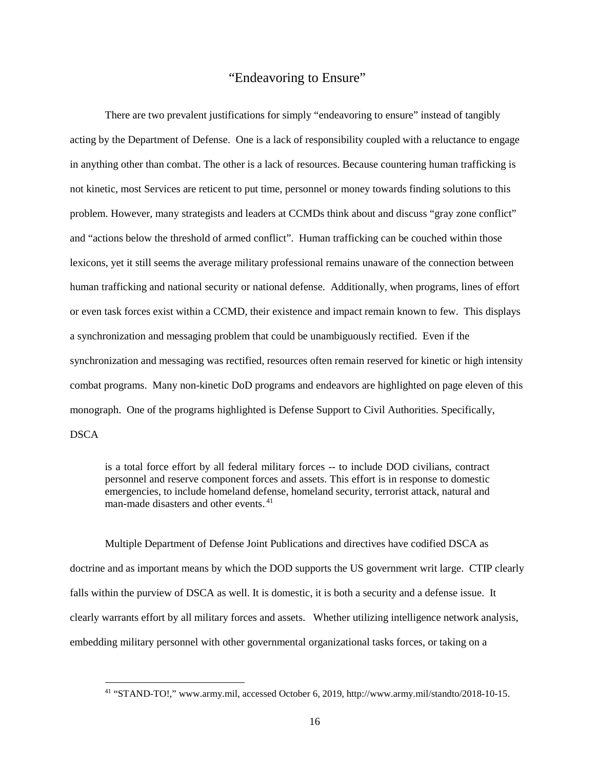#### "Endeavoring to Ensure"

There are two prevalent justifications for simply "endeavoring to ensure" instead of tangibly acting by the Department of Defense. One is a lack of responsibility coupled with a reluctance to engage in anything other than combat. The other is a lack of resources. Because countering human trafficking is not kinetic, most Services are reticent to put time, personnel or money towards finding solutions to this problem. However, many strategists and leaders at CCMDs think about and discuss "gray zone conflict" and "actions below the threshold of armed conflict". Human trafficking can be couched within those lexicons, yet it still seems the average military professional remains unaware of the connection between human trafficking and national security or national defense. Additionally, when programs, lines of effort or even task forces exist within a CCMD, their existence and impact remain known to few. This displays a synchronization and messaging problem that could be unambiguously rectified. Even if the synchronization and messaging was rectified, resources often remain reserved for kinetic or high intensity combat programs. Many non-kinetic DoD programs and endeavors are highlighted on page eleven of this monograph. One of the programs highlighted is Defense Support to Civil Authorities. Specifically, **DSCA** 

is a total force effort by all federal military forces -- to include DOD civilians, contract personnel and reserve component forces and assets. This effort is in response to domestic emergencies, to include homeland defense, homeland security, terrorist attack, natural and man-made disasters and other events.<sup>41</sup>

Multiple Department of Defense Joint Publications and directives have codified DSCA as doctrine and as important means by which the DOD supports the US government writ large. CTIP clearly falls within the purview of DSCA as well. It is domestic, it is both a security and a defense issue. It clearly warrants effort by all military forces and assets. Whether utilizing intelligence network analysis, embedding military personnel with other governmental organizational tasks forces, or taking on a

<sup>41</sup> "STAND-TO!," www.army.mil, accessed October 6, 2019, http://www.army.mil/standto/2018-10-15.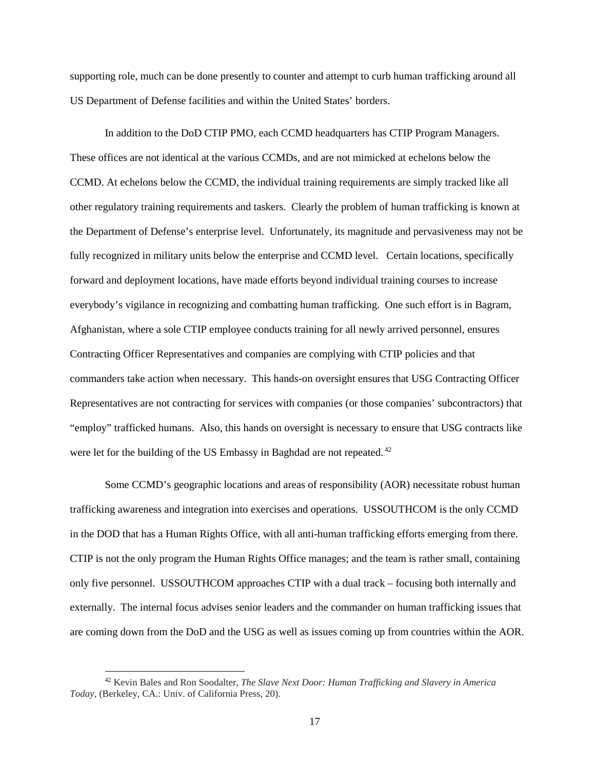supporting role, much can be done presently to counter and attempt to curb human trafficking around all US Department of Defense facilities and within the United States' borders.

In addition to the DoD CTIP PMO, each CCMD headquarters has CTIP Program Managers. These offices are not identical at the various CCMDs, and are not mimicked at echelons below the CCMD. At echelons below the CCMD, the individual training requirements are simply tracked like all other regulatory training requirements and taskers. Clearly the problem of human trafficking is known at the Department of Defense's enterprise level. Unfortunately, its magnitude and pervasiveness may not be fully recognized in military units below the enterprise and CCMD level. Certain locations, specifically forward and deployment locations, have made efforts beyond individual training courses to increase everybody's vigilance in recognizing and combatting human trafficking. One such effort is in Bagram, Afghanistan, where a sole CTIP employee conducts training for all newly arrived personnel, ensures Contracting Officer Representatives and companies are complying with CTIP policies and that commanders take action when necessary. This hands-on oversight ensures that USG Contracting Officer Representatives are not contracting for services with companies (or those companies' subcontractors) that "employ" trafficked humans. Also, this hands on oversight is necessary to ensure that USG contracts like were let for the building of the US Embassy in Baghdad are not repeated. $42$ 

Some CCMD's geographic locations and areas of responsibility (AOR) necessitate robust human trafficking awareness and integration into exercises and operations. USSOUTHCOM is the only CCMD in the DOD that has a Human Rights Office, with all anti-human trafficking efforts emerging from there. CTIP is not the only program the Human Rights Office manages; and the team is rather small, containing only five personnel. USSOUTHCOM approaches CTIP with a dual track – focusing both internally and externally. The internal focus advises senior leaders and the commander on human trafficking issues that are coming down from the DoD and the USG as well as issues coming up from countries within the AOR.

<sup>42</sup> Kevin Bales and Ron Soodalter, *The Slave Next Door: Human Trafficking and Slavery in America Today*, (Berkeley, CA.: Univ. of California Press, 20).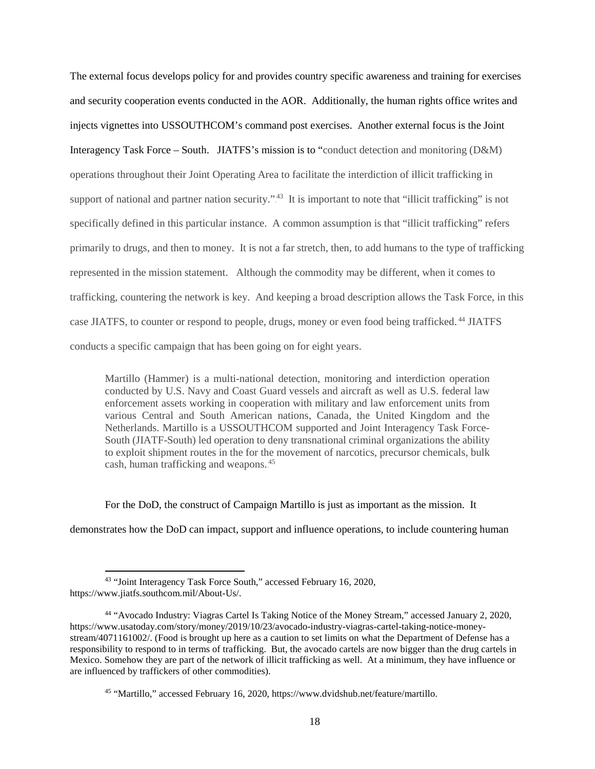The external focus develops policy for and provides country specific awareness and training for exercises and security cooperation events conducted in the AOR. Additionally, the human rights office writes and injects vignettes into USSOUTHCOM's command post exercises. Another external focus is the Joint Interagency Task Force – South. JIATFS's mission is to "conduct detection and monitoring (D&M) operations throughout their Joint Operating Area to facilitate the interdiction of illicit trafficking in support of national and partner nation security."<sup>43</sup> It is important to note that "illicit trafficking" is not specifically defined in this particular instance. A common assumption is that "illicit trafficking" refers primarily to drugs, and then to money. It is not a far stretch, then, to add humans to the type of trafficking represented in the mission statement. Although the commodity may be different, when it comes to trafficking, countering the network is key. And keeping a broad description allows the Task Force, in this case JIATFS, to counter or respond to people, drugs, money or even food being trafficked.<sup>44</sup> JIATFS conducts a specific campaign that has been going on for eight years.

Martillo (Hammer) is a multi-national detection, monitoring and interdiction operation conducted by U.S. Navy and Coast Guard vessels and aircraft as well as U.S. federal law enforcement assets working in cooperation with military and law enforcement units from various Central and South American nations, Canada, the United Kingdom and the Netherlands. Martillo is a USSOUTHCOM supported and Joint Interagency Task Force-South (JIATF-South) led operation to deny transnational criminal organizations the ability to exploit shipment routes in the for the movement of narcotics, precursor chemicals, bulk cash, human trafficking and weapons.<sup>45</sup>

For the DoD, the construct of Campaign Martillo is just as important as the mission. It

demonstrates how the DoD can impact, support and influence operations, to include countering human

 $\overline{\phantom{a}}$ 

<sup>43</sup> "Joint Interagency Task Force South," accessed February 16, 2020, https://www.jiatfs.southcom.mil/About-Us/.

<sup>44 &</sup>quot;Avocado Industry: Viagras Cartel Is Taking Notice of the Money Stream," accessed January 2, 2020, https://www.usatoday.com/story/money/2019/10/23/avocado-industry-viagras-cartel-taking-notice-moneystream/4071161002/. (Food is brought up here as a caution to set limits on what the Department of Defense has a responsibility to respond to in terms of trafficking. But, the avocado cartels are now bigger than the drug cartels in Mexico. Somehow they are part of the network of illicit trafficking as well. At a minimum, they have influence or are influenced by traffickers of other commodities).

<sup>45</sup> "Martillo," accessed February 16, 2020, https://www.dvidshub.net/feature/martillo.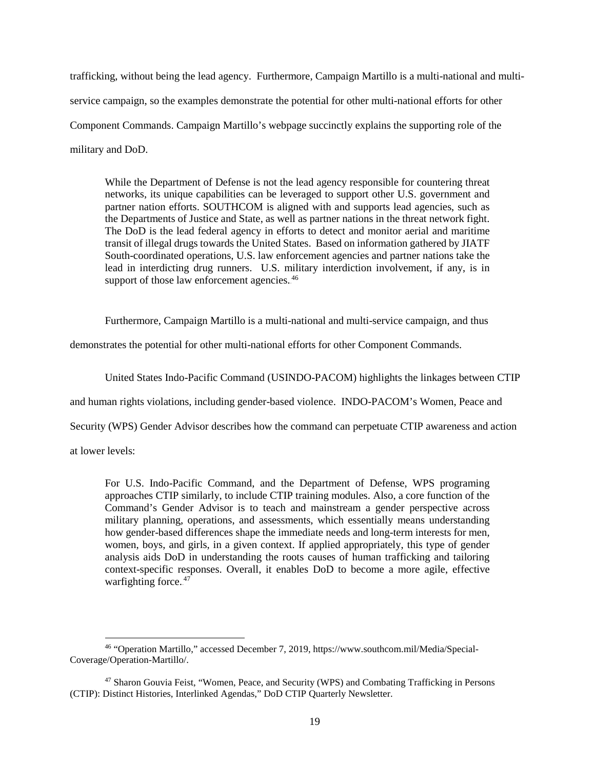trafficking, without being the lead agency. Furthermore, Campaign Martillo is a multi-national and multiservice campaign, so the examples demonstrate the potential for other multi-national efforts for other Component Commands. Campaign Martillo's webpage succinctly explains the supporting role of the military and DoD.

While the Department of Defense is not the lead agency responsible for countering threat networks, its unique capabilities can be leveraged to support other U.S. government and partner nation efforts. SOUTHCOM is aligned with and supports lead agencies, such as the Departments of Justice and State, as well as partner nations in the threat network fight. The DoD is the lead federal agency in efforts to detect and monitor aerial and maritime transit of illegal drugs towards the United States. Based on information gathered by JIATF South-coordinated operations, U.S. law enforcement agencies and partner nations take the lead in interdicting drug runners. U.S. military interdiction involvement, if any, is in support of those law enforcement agencies.<sup>46</sup>

Furthermore, Campaign Martillo is a multi-national and multi-service campaign, and thus

demonstrates the potential for other multi-national efforts for other Component Commands.

United States Indo-Pacific Command (USINDO-PACOM) highlights the linkages between CTIP

and human rights violations, including gender-based violence. INDO-PACOM's Women, Peace and

Security (WPS) Gender Advisor describes how the command can perpetuate CTIP awareness and action

at lower levels:

 $\overline{\phantom{a}}$ 

For U.S. Indo-Pacific Command, and the Department of Defense, WPS programing approaches CTIP similarly, to include CTIP training modules. Also, a core function of the Command's Gender Advisor is to teach and mainstream a gender perspective across military planning, operations, and assessments, which essentially means understanding how gender-based differences shape the immediate needs and long-term interests for men, women, boys, and girls, in a given context. If applied appropriately, this type of gender analysis aids DoD in understanding the roots causes of human trafficking and tailoring context-specific responses. Overall, it enables DoD to become a more agile, effective warfighting force.<sup>47</sup>

<sup>46</sup> "Operation Martillo," accessed December 7, 2019, https://www.southcom.mil/Media/Special-Coverage/Operation-Martillo/.

<sup>47</sup> Sharon Gouvia Feist, "Women, Peace, and Security (WPS) and Combating Trafficking in Persons (CTIP): Distinct Histories, Interlinked Agendas," DoD CTIP Quarterly Newsletter.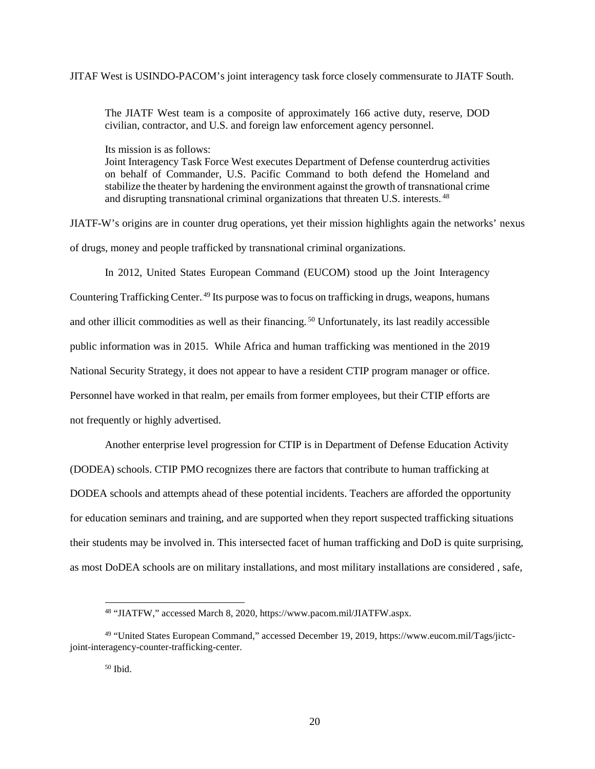#### JITAF West is USINDO-PACOM's joint interagency task force closely commensurate to JIATF South.

The JIATF West team is a composite of approximately 166 active duty, reserve, DOD civilian, contractor, and U.S. and foreign law enforcement agency personnel.

Its mission is as follows:

Joint Interagency Task Force West executes Department of Defense counterdrug activities on behalf of Commander, U.S. Pacific Command to both defend the Homeland and stabilize the theater by hardening the environment against the growth of transnational crime and disrupting transnational criminal organizations that threaten U.S. interests.<sup>48</sup>

JIATF-W's origins are in counter drug operations, yet their mission highlights again the networks' nexus of drugs, money and people trafficked by transnational criminal organizations.

In 2012, United States European Command (EUCOM) stood up the Joint Interagency Countering Trafficking Center.<sup>49</sup> Its purpose was to focus on trafficking in drugs, weapons, humans and other illicit commodities as well as their financing.<sup>50</sup> Unfortunately, its last readily accessible public information was in 2015. While Africa and human trafficking was mentioned in the 2019 National Security Strategy, it does not appear to have a resident CTIP program manager or office. Personnel have worked in that realm, per emails from former employees, but their CTIP efforts are not frequently or highly advertised.

Another enterprise level progression for CTIP is in Department of Defense Education Activity (DODEA) schools. CTIP PMO recognizes there are factors that contribute to human trafficking at DODEA schools and attempts ahead of these potential incidents. Teachers are afforded the opportunity for education seminars and training, and are supported when they report suspected trafficking situations their students may be involved in. This intersected facet of human trafficking and DoD is quite surprising, as most DoDEA schools are on military installations, and most military installations are considered , safe,

<sup>48</sup> "JIATFW," accessed March 8, 2020[, https://www.pacom.mil/JIATFW.aspx.](https://www.pacom.mil/JIATFW.aspx)

<sup>49</sup> "United States European Command," accessed December 19, 2019, https://www.eucom.mil/Tags/jictcjoint-interagency-counter-trafficking-center.

<sup>50</sup> Ibid.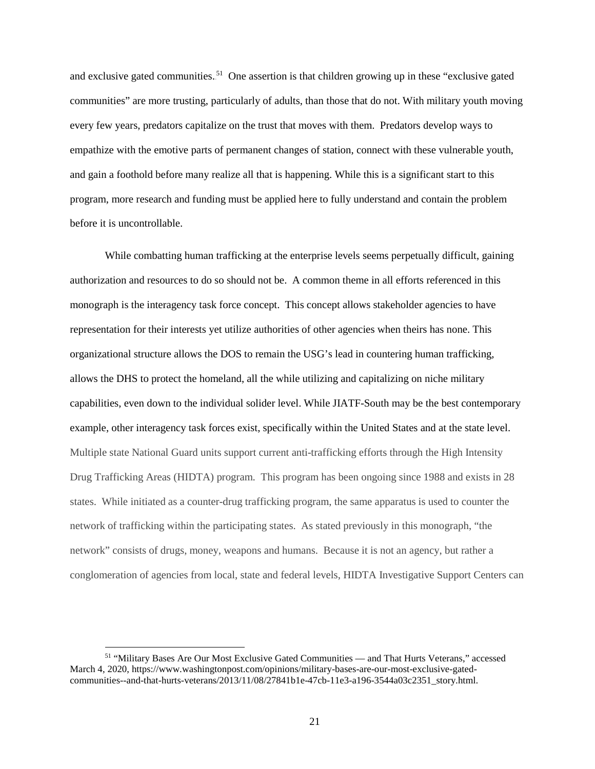and exclusive gated communities.<sup>51</sup> One assertion is that children growing up in these "exclusive gated communities" are more trusting, particularly of adults, than those that do not. With military youth moving every few years, predators capitalize on the trust that moves with them. Predators develop ways to empathize with the emotive parts of permanent changes of station, connect with these vulnerable youth, and gain a foothold before many realize all that is happening. While this is a significant start to this program, more research and funding must be applied here to fully understand and contain the problem before it is uncontrollable.

While combatting human trafficking at the enterprise levels seems perpetually difficult, gaining authorization and resources to do so should not be. A common theme in all efforts referenced in this monograph is the interagency task force concept. This concept allows stakeholder agencies to have representation for their interests yet utilize authorities of other agencies when theirs has none. This organizational structure allows the DOS to remain the USG's lead in countering human trafficking, allows the DHS to protect the homeland, all the while utilizing and capitalizing on niche military capabilities, even down to the individual solider level. While JIATF-South may be the best contemporary example, other interagency task forces exist, specifically within the United States and at the state level. Multiple state National Guard units support current anti-trafficking efforts through the High Intensity Drug Trafficking Areas (HIDTA) program. This program has been ongoing since 1988 and exists in 28 states. While initiated as a counter-drug trafficking program, the same apparatus is used to counter the network of trafficking within the participating states. As stated previously in this monograph, "the network" consists of drugs, money, weapons and humans. Because it is not an agency, but rather a conglomeration of agencies from local, state and federal levels, HIDTA Investigative Support Centers can

<sup>51</sup> "Military Bases Are Our Most Exclusive Gated Communities — and That Hurts Veterans," accessed March 4, 2020[, https://www.washingtonpost.com/opinions/military-bases-are-our-most-exclusive-gated](https://www.washingtonpost.com/opinions/military-bases-are-our-most-exclusive-gated-communities--and-that-hurts-veterans/2013/11/08/27841b1e-47cb-11e3-a196-3544a03c2351_story.html)[communities--and-that-hurts-veterans/2013/11/08/27841b1e-47cb-11e3-a196-3544a03c2351\\_story.html.](https://www.washingtonpost.com/opinions/military-bases-are-our-most-exclusive-gated-communities--and-that-hurts-veterans/2013/11/08/27841b1e-47cb-11e3-a196-3544a03c2351_story.html)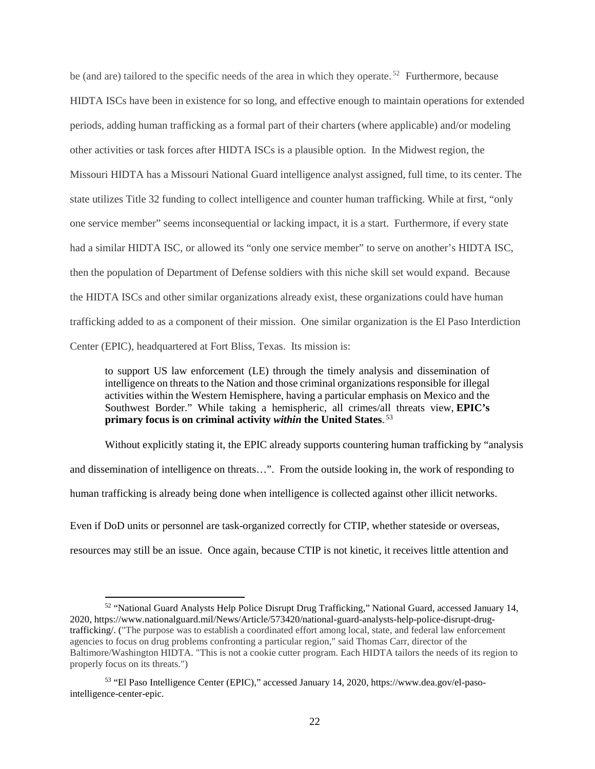be (and are) tailored to the specific needs of the area in which they operate.<sup>52</sup> Furthermore, because HIDTA ISCs have been in existence for so long, and effective enough to maintain operations for extended periods, adding human trafficking as a formal part of their charters (where applicable) and/or modeling other activities or task forces after HIDTA ISCs is a plausible option. In the Midwest region, the Missouri HIDTA has a Missouri National Guard intelligence analyst assigned, full time, to its center. The state utilizes Title 32 funding to collect intelligence and counter human trafficking. While at first, "only one service member" seems inconsequential or lacking impact, it is a start. Furthermore, if every state had a similar HIDTA ISC, or allowed its "only one service member" to serve on another's HIDTA ISC, then the population of Department of Defense soldiers with this niche skill set would expand. Because the HIDTA ISCs and other similar organizations already exist, these organizations could have human trafficking added to as a component of their mission. One similar organization is the El Paso Interdiction Center (EPIC), headquartered at Fort Bliss, Texas. Its mission is:

to support US law enforcement (LE) through the timely analysis and dissemination of intelligence on threats to the Nation and those criminal organizations responsible for illegal activities within the Western Hemisphere, having a particular emphasis on Mexico and the Southwest Border." While taking a hemispheric, all crimes/all threats view, **EPIC's**  primary focus is on criminal activity *within* the United States.<sup>53</sup>

Without explicitly stating it, the EPIC already supports countering human trafficking by "analysis and dissemination of intelligence on threats…". From the outside looking in, the work of responding to human trafficking is already being done when intelligence is collected against other illicit networks. Even if DoD units or personnel are task-organized correctly for CTIP, whether stateside or overseas,

resources may still be an issue. Once again, because CTIP is not kinetic, it receives little attention and

 $\overline{\phantom{a}}$ 

<sup>52</sup> "National Guard Analysts Help Police Disrupt Drug Trafficking," National Guard, accessed January 14, 2020, [https://www.nationalguard.mil/News/Article/573420/national-guard-analysts-help-police-disrupt-drug](https://www.nationalguard.mil/News/Article/573420/national-guard-analysts-help-police-disrupt-drug-trafficking/)[trafficking/.](https://www.nationalguard.mil/News/Article/573420/national-guard-analysts-help-police-disrupt-drug-trafficking/) ("The purpose was to establish a coordinated effort among local, state, and federal law enforcement agencies to focus on drug problems confronting a particular region," said Thomas Carr, director of the Baltimore/Washington HIDTA. "This is not a cookie cutter program. Each HIDTA tailors the needs of its region to properly focus on its threats.")

<sup>53</sup> "El Paso Intelligence Center (EPIC)," accessed January 14, 2020, https://www.dea.gov/el-pasointelligence-center-epic.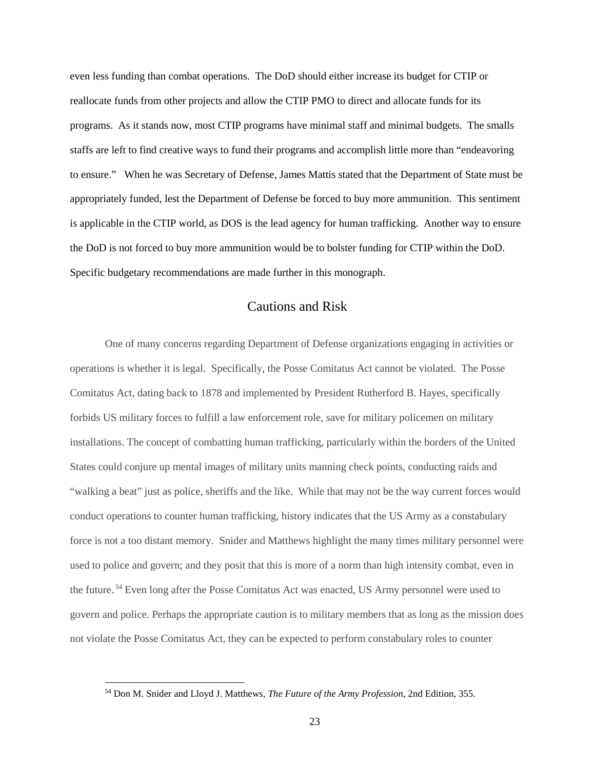even less funding than combat operations. The DoD should either increase its budget for CTIP or reallocate funds from other projects and allow the CTIP PMO to direct and allocate funds for its programs. As it stands now, most CTIP programs have minimal staff and minimal budgets. The smalls staffs are left to find creative ways to fund their programs and accomplish little more than "endeavoring to ensure." When he was Secretary of Defense, James Mattis stated that the Department of State must be appropriately funded, lest the Department of Defense be forced to buy more ammunition. This sentiment is applicable in the CTIP world, as DOS is the lead agency for human trafficking. Another way to ensure the DoD is not forced to buy more ammunition would be to bolster funding for CTIP within the DoD. Specific budgetary recommendations are made further in this monograph.

# Cautions and Risk

One of many concerns regarding Department of Defense organizations engaging in activities or operations is whether it is legal. Specifically, the Posse Comitatus Act cannot be violated. The Posse Comitatus Act, dating back to 1878 and implemented by President Rutherford B. Hayes, specifically forbids US military forces to fulfill a law enforcement role, save for military policemen on military installations. The concept of combatting human trafficking, particularly within the borders of the United States could conjure up mental images of military units manning check points, conducting raids and "walking a beat" just as police, sheriffs and the like. While that may not be the way current forces would conduct operations to counter human trafficking, history indicates that the US Army as a constabulary force is not a too distant memory. Snider and Matthews highlight the many times military personnel were used to police and govern; and they posit that this is more of a norm than high intensity combat, even in the future.<sup>54</sup> Even long after the Posse Comitatus Act was enacted, US Army personnel were used to govern and police. Perhaps the appropriate caution is to military members that as long as the mission does not violate the Posse Comitatus Act, they can be expected to perform constabulary roles to counter

<sup>54</sup> Don M. Snider and Lloyd J. Matthews, *The Future of the Army Profession*, 2nd Edition, 355.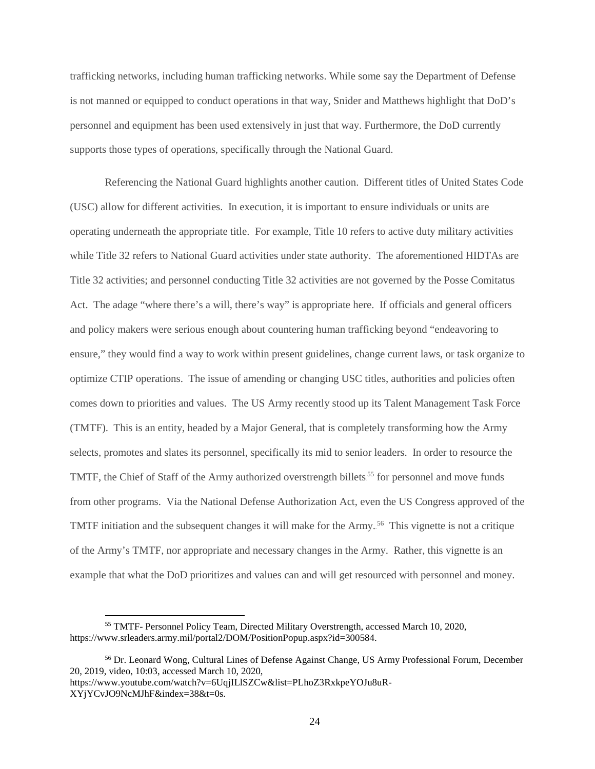trafficking networks, including human trafficking networks. While some say the Department of Defense is not manned or equipped to conduct operations in that way, Snider and Matthews highlight that DoD's personnel and equipment has been used extensively in just that way. Furthermore, the DoD currently supports those types of operations, specifically through the National Guard.

Referencing the National Guard highlights another caution. Different titles of United States Code (USC) allow for different activities. In execution, it is important to ensure individuals or units are operating underneath the appropriate title. For example, Title 10 refers to active duty military activities while Title 32 refers to National Guard activities under state authority. The aforementioned HIDTAs are Title 32 activities; and personnel conducting Title 32 activities are not governed by the Posse Comitatus Act. The adage "where there's a will, there's way" is appropriate here. If officials and general officers and policy makers were serious enough about countering human trafficking beyond "endeavoring to ensure," they would find a way to work within present guidelines, change current laws, or task organize to optimize CTIP operations. The issue of amending or changing USC titles, authorities and policies often comes down to priorities and values. The US Army recently stood up its Talent Management Task Force (TMTF). This is an entity, headed by a Major General, that is completely transforming how the Army selects, promotes and slates its personnel, specifically its mid to senior leaders. In order to resource the TMTF, the Chief of Staff of the Army authorized overstrength billets.<sup>55</sup> for personnel and move funds from other programs. Via the National Defense Authorization Act, even the US Congress approved of the TMTF initiation and the subsequent changes it will make for the Army.<sup>56</sup> This vignette is not a critique of the Army's TMTF, nor appropriate and necessary changes in the Army. Rather, this vignette is an example that what the DoD prioritizes and values can and will get resourced with personnel and money.

<sup>55</sup> TMTF- Personnel Policy Team, Directed Military Overstrength, accessed March 10, 2020, [https://www.srleaders.army.mil/portal2/DOM/PositionPopup.aspx?id=300584.](https://www.srleaders.army.mil/portal2/DOM/PositionPopup.aspx?id=300584) 

<sup>56</sup> Dr. Leonard Wong, Cultural Lines of Defense Against Change, US Army Professional Forum, December 20, 2019, video, 10:03, accessed March 10, 2020, https://www.youtube.com/watch?v=6UqjILlSZCw&list=PLhoZ3RxkpeYOJu8uR-

XYjYCvJO9NcMJhF&index=38&t=0s.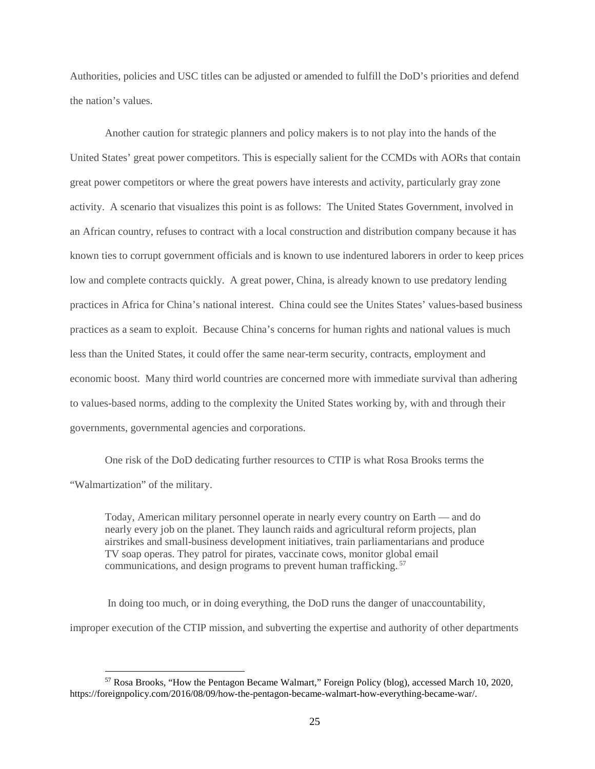Authorities, policies and USC titles can be adjusted or amended to fulfill the DoD's priorities and defend the nation's values.

Another caution for strategic planners and policy makers is to not play into the hands of the United States' great power competitors. This is especially salient for the CCMDs with AORs that contain great power competitors or where the great powers have interests and activity, particularly gray zone activity. A scenario that visualizes this point is as follows: The United States Government, involved in an African country, refuses to contract with a local construction and distribution company because it has known ties to corrupt government officials and is known to use indentured laborers in order to keep prices low and complete contracts quickly. A great power, China, is already known to use predatory lending practices in Africa for China's national interest. China could see the Unites States' values-based business practices as a seam to exploit. Because China's concerns for human rights and national values is much less than the United States, it could offer the same near-term security, contracts, employment and economic boost. Many third world countries are concerned more with immediate survival than adhering to values-based norms, adding to the complexity the United States working by, with and through their governments, governmental agencies and corporations.

One risk of the DoD dedicating further resources to CTIP is what Rosa Brooks terms the "Walmartization" of the military.

Today, American military personnel operate in nearly every country on Earth — and do nearly every job on the planet. They launch raids and agricultural reform projects, plan airstrikes and small-business development initiatives, train parliamentarians and produce TV soap operas. They patrol for pirates, vaccinate cows, monitor global email communications, and design programs to prevent human trafficking.<sup>57</sup>

 In doing too much, or in doing everything, the DoD runs the danger of unaccountability, improper execution of the CTIP mission, and subverting the expertise and authority of other departments

<sup>57</sup> Rosa Brooks, "How the Pentagon Became Walmart," Foreign Policy (blog), accessed March 10, 2020, https://foreignpolicy.com/2016/08/09/how-the-pentagon-became-walmart-how-everything-became-war/.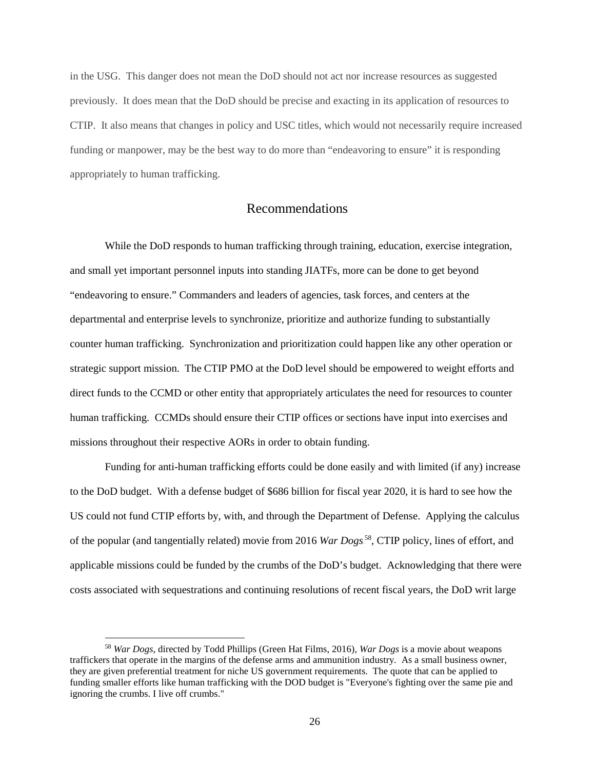in the USG. This danger does not mean the DoD should not act nor increase resources as suggested previously. It does mean that the DoD should be precise and exacting in its application of resources to CTIP. It also means that changes in policy and USC titles, which would not necessarily require increased funding or manpower, may be the best way to do more than "endeavoring to ensure" it is responding appropriately to human trafficking.

#### Recommendations

While the DoD responds to human trafficking through training, education, exercise integration, and small yet important personnel inputs into standing JIATFs, more can be done to get beyond "endeavoring to ensure." Commanders and leaders of agencies, task forces, and centers at the departmental and enterprise levels to synchronize, prioritize and authorize funding to substantially counter human trafficking. Synchronization and prioritization could happen like any other operation or strategic support mission. The CTIP PMO at the DoD level should be empowered to weight efforts and direct funds to the CCMD or other entity that appropriately articulates the need for resources to counter human trafficking. CCMDs should ensure their CTIP offices or sections have input into exercises and missions throughout their respective AORs in order to obtain funding.

Funding for anti-human trafficking efforts could be done easily and with limited (if any) increase to the DoD budget. With a defense budget of \$686 billion for fiscal year 2020, it is hard to see how the US could not fund CTIP efforts by, with, and through the Department of Defense. Applying the calculus of the popular (and tangentially related) movie from 2016 *War Dogs*<sup>58</sup>, CTIP policy, lines of effort, and applicable missions could be funded by the crumbs of the DoD's budget. Acknowledging that there were costs associated with sequestrations and continuing resolutions of recent fiscal years, the DoD writ large

 $\overline{\phantom{a}}$ 

<sup>58</sup> *War Dogs,* directed by Todd Phillips (Green Hat Films, 2016), *War Dogs* is a movie about weapons traffickers that operate in the margins of the defense arms and ammunition industry. As a small business owner, they are given preferential treatment for niche US government requirements. The quote that can be applied to funding smaller efforts like human trafficking with the DOD budget is "Everyone's fighting over the same pie and ignoring the crumbs. I live off crumbs."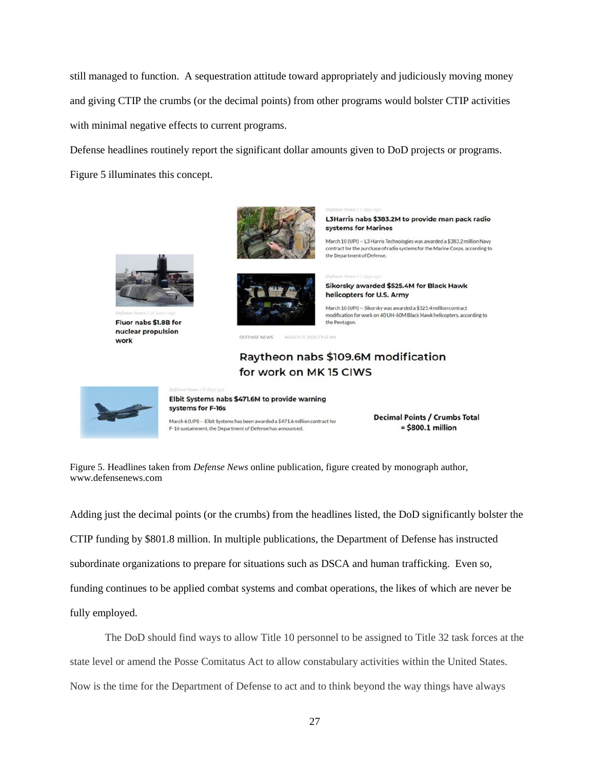still managed to function. A sequestration attitude toward appropriately and judiciously moving money and giving CTIP the crumbs (or the decimal points) from other programs would bolster CTIP activities with minimal negative effects to current programs.

Defense headlines routinely report the significant dollar amounts given to DoD projects or programs. Figure 5 illuminates this concept.



Fluor nabs \$1.8B for nuclear propulsion work



L3Harris nabs \$383.2M to provide man pack radio systems for Marines

March 10 (UPI) -- L3 Harris Technologies was awarded a \$383.2 million Navy contract for the purchase of radio systems for the Marine Corps, according to the Department of Defense.



Sikorsky awarded \$525.4M for Black Hawk helicopters for U.S. Army

March 10 (UPI) -- Sikorsky was awarded a \$525.4 million contract modification for work on 40 UH-60M Black Hawk helicopters, according to the Pentagon.

DEEFNGE NEWS MARCH 11, 2020 72.41 PM

# Raytheon nabs \$109.6M modification for work on MK 15 CIWS



Elbit Systems nabs \$471.6M to provide warning systems for F-16s

March 6 (UPI) -- Elbit Systems has been awarded a \$471.6 million contract for F-16 sustainment, the Department of Defense has announced.

**Decimal Points / Crumbs Total**  $=$  \$800.1 million

Figure 5. Headlines taken from *Defense News* online publication, figure created by monograph author, www.defensenews.com

Adding just the decimal points (or the crumbs) from the headlines listed, the DoD significantly bolster the CTIP funding by \$801.8 million. In multiple publications, the Department of Defense has instructed subordinate organizations to prepare for situations such as DSCA and human trafficking. Even so, funding continues to be applied combat systems and combat operations, the likes of which are never be fully employed.

The DoD should find ways to allow Title 10 personnel to be assigned to Title 32 task forces at the state level or amend the Posse Comitatus Act to allow constabulary activities within the United States. Now is the time for the Department of Defense to act and to think beyond the way things have always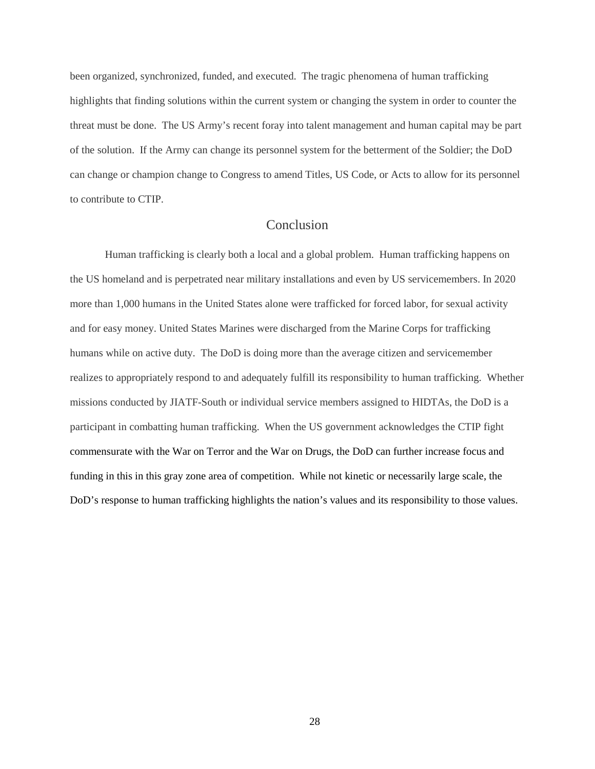been organized, synchronized, funded, and executed. The tragic phenomena of human trafficking highlights that finding solutions within the current system or changing the system in order to counter the threat must be done. The US Army's recent foray into talent management and human capital may be part of the solution. If the Army can change its personnel system for the betterment of the Soldier; the DoD can change or champion change to Congress to amend Titles, US Code, or Acts to allow for its personnel to contribute to CTIP.

### Conclusion

Human trafficking is clearly both a local and a global problem. Human trafficking happens on the US homeland and is perpetrated near military installations and even by US servicemembers. In 2020 more than 1,000 humans in the United States alone were trafficked for forced labor, for sexual activity and for easy money. United States Marines were discharged from the Marine Corps for trafficking humans while on active duty. The DoD is doing more than the average citizen and servicemember realizes to appropriately respond to and adequately fulfill its responsibility to human trafficking. Whether missions conducted by JIATF-South or individual service members assigned to HIDTAs, the DoD is a participant in combatting human trafficking. When the US government acknowledges the CTIP fight commensurate with the War on Terror and the War on Drugs, the DoD can further increase focus and funding in this in this gray zone area of competition. While not kinetic or necessarily large scale, the DoD's response to human trafficking highlights the nation's values and its responsibility to those values.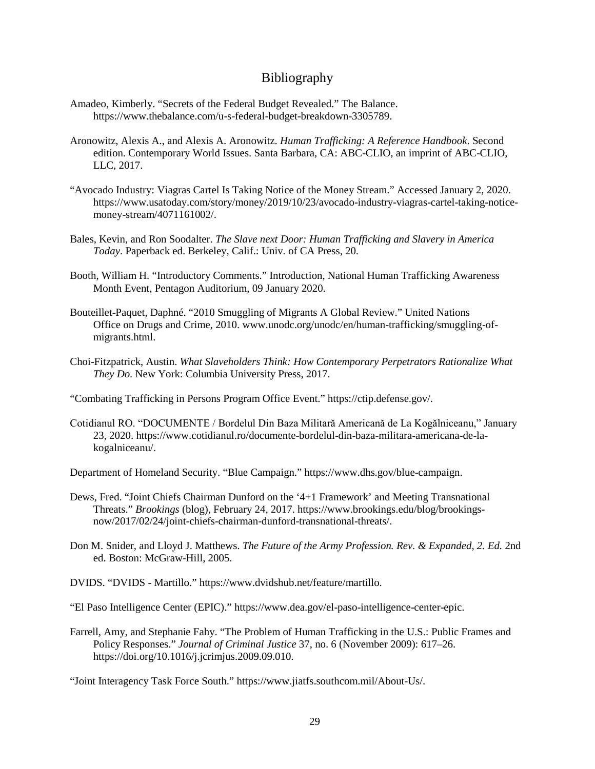### Bibliography

- Amadeo, Kimberly. "Secrets of the Federal Budget Revealed." The Balance. [https://www.thebalance.com/u-s-federal-budget-breakdown-3305789.](https://www.thebalance.com/u-s-federal-budget-breakdown-3305789)
- Aronowitz, Alexis A., and Alexis A. Aronowitz. *Human Trafficking: A Reference Handbook*. Second edition. Contemporary World Issues. Santa Barbara, CA: ABC-CLIO, an imprint of ABC-CLIO, LLC, 2017.
- "Avocado Industry: Viagras Cartel Is Taking Notice of the Money Stream." Accessed January 2, 2020. [https://www.usatoday.com/story/money/2019/10/23/avocado-industry-viagras-cartel-taking-notice](https://www.usatoday.com/story/money/2019/10/23/avocado-industry-viagras-cartel-taking-notice-money-stream/4071161002/)[money-stream/4071161002/.](https://www.usatoday.com/story/money/2019/10/23/avocado-industry-viagras-cartel-taking-notice-money-stream/4071161002/)
- Bales, Kevin, and Ron Soodalter. *The Slave next Door: Human Trafficking and Slavery in America Today*. Paperback ed. Berkeley, Calif.: Univ. of CA Press, 20.
- Booth, William H. "Introductory Comments." Introduction, National Human Trafficking Awareness Month Event, Pentagon Auditorium, 09 January 2020.
- Bouteillet-Paquet, Daphné. "2010 Smuggling of Migrants A Global Review." United Nations Office on Drugs and Crime, 2010. www.unodc.org/unodc/en/human-trafficking/smuggling-ofmigrants.html.
- Choi-Fitzpatrick, Austin. *What Slaveholders Think: How Contemporary Perpetrators Rationalize What They Do*. New York: Columbia University Press, 2017.

"Combating Trafficking in Persons Program Office Event." [https://ctip.defense.gov/.](https://ctip.defense.gov/)

Cotidianul RO. "DOCUMENTE / Bordelul Din Baza Militară Americană de La Kogălniceanu," January 23, 2020. [https://www.cotidianul.ro/documente-bordelul-din-baza-militara-americana-de-la](https://www.cotidianul.ro/documente-bordelul-din-baza-militara-americana-de-la-kogalniceanu/)[kogalniceanu/.](https://www.cotidianul.ro/documente-bordelul-din-baza-militara-americana-de-la-kogalniceanu/)

Department of Homeland Security. "Blue Campaign." [https://www.dhs.gov/blue-campaign.](https://www.dhs.gov/blue-campaign)

- Dews, Fred. "Joint Chiefs Chairman Dunford on the '4+1 Framework' and Meeting Transnational Threats." *Brookings* (blog), February 24, 2017. [https://www.brookings.edu/blog/brookings](https://www.brookings.edu/blog/brookings-now/2017/02/24/joint-chiefs-chairman-dunford-transnational-threats/)[now/2017/02/24/joint-chiefs-chairman-dunford-transnational-threats/.](https://www.brookings.edu/blog/brookings-now/2017/02/24/joint-chiefs-chairman-dunford-transnational-threats/)
- Don M. Snider, and Lloyd J. Matthews. *The Future of the Army Profession. Rev. & Expanded, 2. Ed.* 2nd ed. Boston: McGraw-Hill, 2005.
- DVIDS. "DVIDS Martillo." [https://www.dvidshub.net/feature/martillo.](https://www.dvidshub.net/feature/martillo)

"El Paso Intelligence Center (EPIC)." [https://www.dea.gov/el-paso-intelligence-center-epic.](https://www.dea.gov/el-paso-intelligence-center-epic)

Farrell, Amy, and Stephanie Fahy. "The Problem of Human Trafficking in the U.S.: Public Frames and Policy Responses." *Journal of Criminal Justice* 37, no. 6 (November 2009): 617–26. [https://doi.org/10.1016/j.jcrimjus.2009.09.010.](https://doi.org/10.1016/j.jcrimjus.2009.09.010)

"Joint Interagency Task Force South." https://www.jiatfs.southcom.mil/About-Us/.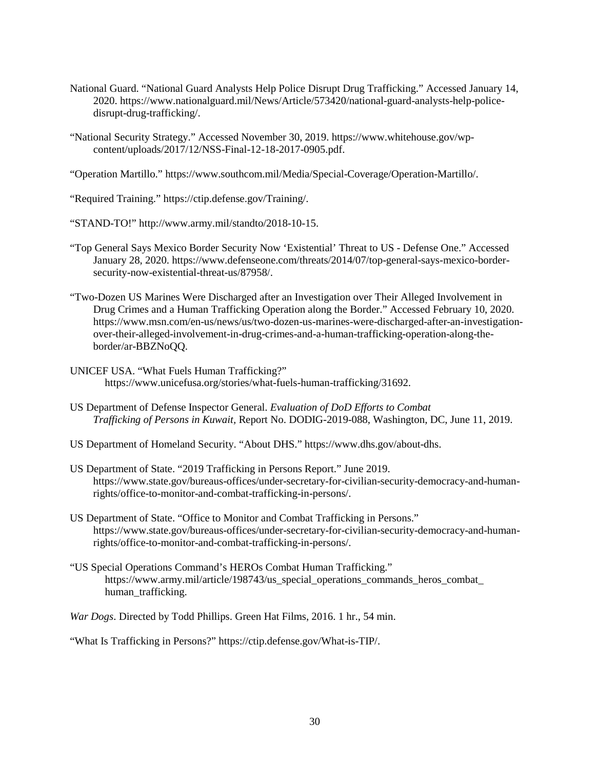- National Guard. "National Guard Analysts Help Police Disrupt Drug Trafficking." Accessed January 14, 2020. [https://www.nationalguard.mil/News/Article/573420/national-guard-analysts-help-police](https://www.nationalguard.mil/News/Article/573420/national-guard-analysts-help-police-disrupt-drug-trafficking/)[disrupt-drug-trafficking/.](https://www.nationalguard.mil/News/Article/573420/national-guard-analysts-help-police-disrupt-drug-trafficking/)
- "National Security Strategy." Accessed November 30, 2019. [https://www.whitehouse.gov/wp](https://www.whitehouse.gov/wp-content/uploads/2017/12/NSS-Final-12-18-2017-0905.pdf)[content/uploads/2017/12/NSS-Final-12-18-2017-0905.pdf.](https://www.whitehouse.gov/wp-content/uploads/2017/12/NSS-Final-12-18-2017-0905.pdf)

"Operation Martillo." [https://www.southcom.mil/Media/Special-Coverage/Operation-Martillo/.](https://www.southcom.mil/Media/Special-Coverage/Operation-Martillo/)

"Required Training." [https://ctip.defense.gov/Training/.](https://ctip.defense.gov/Training/)

"STAND-TO!" [http://www.army.mil/standto/2018-10-15.](http://www.army.mil/standto/2018-10-15)

- "Top General Says Mexico Border Security Now 'Existential' Threat to US Defense One." Accessed January 28, 2020. [https://www.defenseone.com/threats/2014/07/top-general-says-mexico-border](https://www.defenseone.com/threats/2014/07/top-general-says-mexico-border-security-now-existential-threat-us/87958/)[security-now-existential-threat-us/87958/.](https://www.defenseone.com/threats/2014/07/top-general-says-mexico-border-security-now-existential-threat-us/87958/)
- "Two-Dozen US Marines Were Discharged after an Investigation over Their Alleged Involvement in Drug Crimes and a Human Trafficking Operation along the Border." Accessed February 10, 2020. [https://www.msn.com/en-us/news/us/two-dozen-us-marines-were-discharged-after-an-investigation](https://www.msn.com/en-us/news/us/two-dozen-us-marines-were-discharged-after-an-investigation-over-their-alleged-involvement-in-drug-crimes-and-a-human-trafficking-operation-along-the-border/ar-BBZNoQQ)[over-their-alleged-involvement-in-drug-crimes-and-a-human-trafficking-operation-along-the](https://www.msn.com/en-us/news/us/two-dozen-us-marines-were-discharged-after-an-investigation-over-their-alleged-involvement-in-drug-crimes-and-a-human-trafficking-operation-along-the-border/ar-BBZNoQQ)[border/ar-BBZNoQQ.](https://www.msn.com/en-us/news/us/two-dozen-us-marines-were-discharged-after-an-investigation-over-their-alleged-involvement-in-drug-crimes-and-a-human-trafficking-operation-along-the-border/ar-BBZNoQQ)
- UNICEF USA. "What Fuels Human Trafficking?" [https://www.unicefusa.org/stories/what-fuels-human-trafficking/31692.](https://www.unicefusa.org/stories/what-fuels-human-trafficking/31692)
- US Department of Defense Inspector General. *Evaluation of DoD Efforts to Combat Trafficking of Persons in Kuwait,* Report No. DODIG-2019-088, Washington, DC, June 11, 2019.
- US Department of Homeland Security. "About DHS." [https://www.dhs.gov/about-dhs.](https://www.dhs.gov/about-dhs)
- US Department of State. "2019 Trafficking in Persons Report." June 2019. https://www.state.gov/bureaus-offices/under-secretary-for-civilian-security-democracy-and-humanrights/office-to-monitor-and-combat-trafficking-in-persons/.
- US Department of State. "Office to Monitor and Combat Trafficking in Persons." [https://www.state.gov/bureaus-offices/under-secretary-for-civilian-security-democracy-and-human](https://www.state.gov/bureaus-offices/under-secretary-for-civilian-security-democracy-and-human-rights/office-to-monitor-and-combat-trafficking-in-persons/)[rights/office-to-monitor-and-combat-trafficking-in-persons/.](https://www.state.gov/bureaus-offices/under-secretary-for-civilian-security-democracy-and-human-rights/office-to-monitor-and-combat-trafficking-in-persons/)
- "US Special Operations Command's HEROs Combat Human Trafficking." https://www.army.mil/article/198743/us special operations commands heros combat human\_trafficking.

*War Dogs*. Directed by Todd Phillips. Green Hat Films, 2016. 1 hr., 54 min.

"What Is Trafficking in Persons?" [https://ctip.defense.gov/What-is-TIP/.](https://ctip.defense.gov/What-is-TIP/)